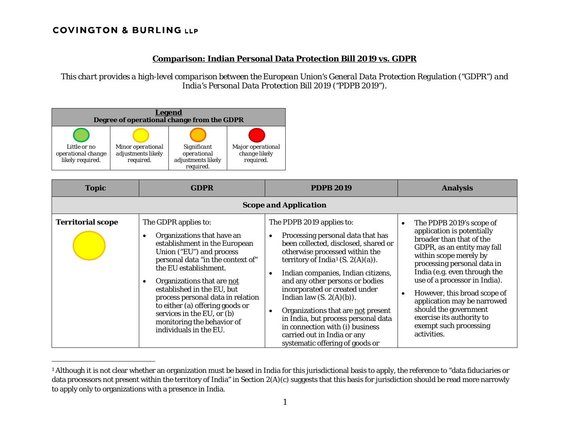# **COVINGTON & BURLING LLP**

 $\overline{a}$ 

## <span id="page-0-0"></span>**Comparison: Indian Personal Data Protection Bill 2019 vs. GDPR**

*This chart provides a high-level comparison between the European Union's General Data Protection Regulation ("GDPR") and India's Personal Data Protection Bill 2019 ("PDPB 2019").* 



| <b>Topic</b>                 | <b>GDPR</b>                                                                                                                                                                                                                                                                                                                                                                                             | <b>PDPB 2019</b>                                                                                                                                                                                                                                                                                                                                                                                                                                                                                                     | <b>Analysis</b>                                                                                                                                                                                                                                                                                                                                                                                                                     |  |
|------------------------------|---------------------------------------------------------------------------------------------------------------------------------------------------------------------------------------------------------------------------------------------------------------------------------------------------------------------------------------------------------------------------------------------------------|----------------------------------------------------------------------------------------------------------------------------------------------------------------------------------------------------------------------------------------------------------------------------------------------------------------------------------------------------------------------------------------------------------------------------------------------------------------------------------------------------------------------|-------------------------------------------------------------------------------------------------------------------------------------------------------------------------------------------------------------------------------------------------------------------------------------------------------------------------------------------------------------------------------------------------------------------------------------|--|
| <b>Scope and Application</b> |                                                                                                                                                                                                                                                                                                                                                                                                         |                                                                                                                                                                                                                                                                                                                                                                                                                                                                                                                      |                                                                                                                                                                                                                                                                                                                                                                                                                                     |  |
| <b>Territorial scope</b>     | The GDPR applies to:<br>Organizations that have an<br>establishment in the European<br>Union ("EU") and process<br>personal data "in the context of"<br>the EU establishment.<br>Organizations that are not<br>established in the EU, but<br>process personal data in relation<br>to either (a) offering goods or<br>services in the EU, or (b)<br>monitoring the behavior of<br>individuals in the EU. | The PDPB 2019 applies to:<br>Processing personal data that has<br>been collected, disclosed, shared or<br>otherwise processed within the<br>territory of India <sup>1</sup> (S. 2(A)(a)).<br>Indian companies, Indian citizens,<br>and any other persons or bodies<br>incorporated or created under<br>Indian law $(S. 2(A)(b))$ .<br>Organizations that are not present<br>in India, but process personal data<br>in connection with (i) business<br>carried out in India or any<br>systematic offering of goods or | The PDPB 2019's scope of<br>$\bullet$<br>application is potentially<br>broader than that of the<br>GDPR, as an entity may fall<br>within scope merely by<br>processing personal data in<br>India (e.g. even through the<br>use of a processor in India).<br>However, this broad scope of<br>$\bullet$<br>application may be narrowed<br>should the government<br>exercise its authority to<br>exempt such processing<br>activities. |  |

<sup>&</sup>lt;sup>1</sup> Although it is not clear whether an organization must be based in India for this jurisdictional basis to apply, the reference to "data fiduciaries or data processors not present within the territory of India" in Section 2(A)(c) suggests that this basis for jurisdiction should be read more narrowly to apply only to organizations with a presence in India.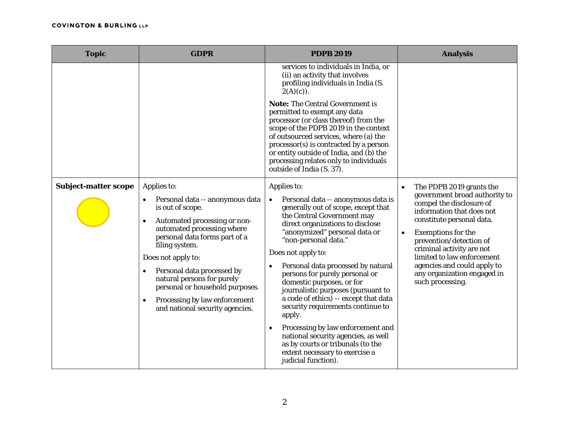| <b>Topic</b>                | <b>GDPR</b>                                                                                                                                                                                                                                                                                                                                                                                            | <b>PDPB 2019</b>                                                                                                                                                                                                                                                                                                                                                                                                                                                                                                                                                                                                                                                    | <b>Analysis</b>                                                                                                                                                                                                                                                                                                                                                                |
|-----------------------------|--------------------------------------------------------------------------------------------------------------------------------------------------------------------------------------------------------------------------------------------------------------------------------------------------------------------------------------------------------------------------------------------------------|---------------------------------------------------------------------------------------------------------------------------------------------------------------------------------------------------------------------------------------------------------------------------------------------------------------------------------------------------------------------------------------------------------------------------------------------------------------------------------------------------------------------------------------------------------------------------------------------------------------------------------------------------------------------|--------------------------------------------------------------------------------------------------------------------------------------------------------------------------------------------------------------------------------------------------------------------------------------------------------------------------------------------------------------------------------|
|                             |                                                                                                                                                                                                                                                                                                                                                                                                        | services to individuals in India, or<br>(ii) an activity that involves<br>profiling individuals in India (S.<br>$2(A)(c)$ .                                                                                                                                                                                                                                                                                                                                                                                                                                                                                                                                         |                                                                                                                                                                                                                                                                                                                                                                                |
|                             |                                                                                                                                                                                                                                                                                                                                                                                                        | <b>Note:</b> The Central Government is<br>permitted to exempt any data<br>processor (or class thereof) from the<br>scope of the PDPB 2019 in the context<br>of outsourced services, where (a) the<br>processor(s) is contracted by a person<br>or entity outside of India, and (b) the<br>processing relates only to individuals<br>outside of India (S. 37).                                                                                                                                                                                                                                                                                                       |                                                                                                                                                                                                                                                                                                                                                                                |
| <b>Subject-matter scope</b> | Applies to:<br>Personal data -- anonymous data<br>is out of scope.<br>Automated processing or non-<br>$\bullet$<br>automated processing where<br>personal data forms part of a<br>filing system.<br>Does not apply to:<br>Personal data processed by<br>natural persons for purely<br>personal or household purposes.<br>Processing by law enforcement<br>$\bullet$<br>and national security agencies. | Applies to:<br>Personal data -- anonymous data is<br>$\bullet$<br>generally out of scope, except that<br>the Central Government may<br>direct organizations to disclose<br>"anonymized" personal data or<br>"non-personal data."<br>Does not apply to:<br>Personal data processed by natural<br>persons for purely personal or<br>domestic purposes, or for<br>journalistic purposes (pursuant to<br>a code of ethics) -- except that data<br>security requirements continue to<br>apply.<br>Processing by law enforcement and<br>national security agencies, as well<br>as by courts or tribunals (to the<br>extent necessary to exercise a<br>judicial function). | The PDPB 2019 grants the<br>$\bullet$<br>government broad authority to<br>compel the disclosure of<br>information that does not<br>constitute personal data.<br><b>Exemptions for the</b><br>$\bullet$<br>prevention/detection of<br>criminal activity are not<br>limited to law enforcement<br>agencies and could apply to<br>any organization engaged in<br>such processing. |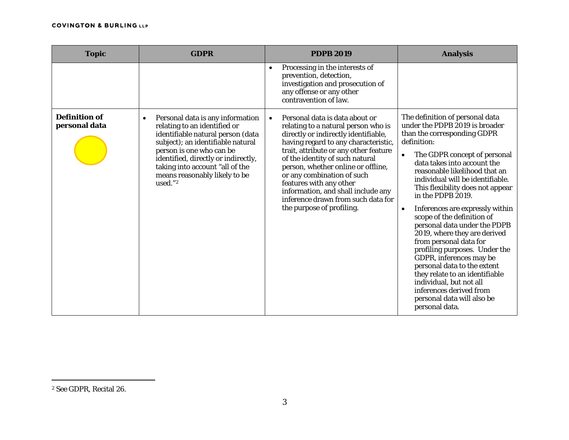<span id="page-2-0"></span>

| <b>Topic</b>                          | <b>GDPR</b>                                                                                                                                                                                                                                                                                  | <b>PDPB 2019</b>                                                                                                                                                                                                                                                                                                                                                                                                                                       | <b>Analysis</b>                                                                                                                                                                                                                                                                                                                                                                                                                                                                                                                                                                                                                                                                                                                      |
|---------------------------------------|----------------------------------------------------------------------------------------------------------------------------------------------------------------------------------------------------------------------------------------------------------------------------------------------|--------------------------------------------------------------------------------------------------------------------------------------------------------------------------------------------------------------------------------------------------------------------------------------------------------------------------------------------------------------------------------------------------------------------------------------------------------|--------------------------------------------------------------------------------------------------------------------------------------------------------------------------------------------------------------------------------------------------------------------------------------------------------------------------------------------------------------------------------------------------------------------------------------------------------------------------------------------------------------------------------------------------------------------------------------------------------------------------------------------------------------------------------------------------------------------------------------|
|                                       |                                                                                                                                                                                                                                                                                              | Processing in the interests of<br>$\bullet$<br>prevention, detection,<br>investigation and prosecution of<br>any offense or any other<br>contravention of law.                                                                                                                                                                                                                                                                                         |                                                                                                                                                                                                                                                                                                                                                                                                                                                                                                                                                                                                                                                                                                                                      |
| <b>Definition of</b><br>personal data | Personal data is any information<br>relating to an identified or<br>identifiable natural person (data<br>subject); an identifiable natural<br>person is one who can be<br>identified, directly or indirectly,<br>taking into account "all of the<br>means reasonably likely to be<br>used."2 | Personal data is data about or<br>$\bullet$<br>relating to a natural person who is<br>directly or indirectly identifiable,<br>having regard to any characteristic,<br>trait, attribute or any other feature<br>of the identity of such natural<br>person, whether online or offline,<br>or any combination of such<br>features with any other<br>information, and shall include any<br>inference drawn from such data for<br>the purpose of profiling. | The definition of personal data<br>under the PDPB 2019 is broader<br>than the corresponding GDPR<br>definition:<br>The GDPR concept of personal<br>$\bullet$<br>data takes into account the<br>reasonable likelihood that an<br>individual will be identifiable.<br>This flexibility does not appear<br>in the PDPB 2019.<br>Inferences are expressly within<br>$\bullet$<br>scope of the definition of<br>personal data under the PDPB<br>2019, where they are derived<br>from personal data for<br>profiling purposes. Under the<br>GDPR, inferences may be<br>personal data to the extent<br>they relate to an identifiable<br>individual, but not all<br>inferences derived from<br>personal data will also be<br>personal data. |

 $\overline{a}$ 

<sup>2</sup> *See* GDPR, Recital 26.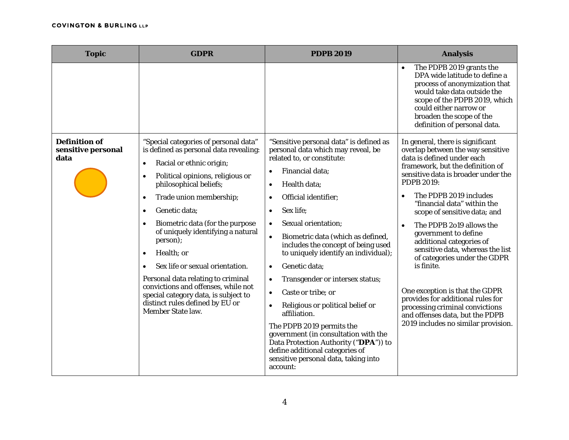| <b>Topic</b>                                       | <b>GDPR</b>                                                                                                                                                                                                                                                                                                                                                                                                                                                                                                                                                                           | <b>PDPB 2019</b>                                                                                                                                                                                                                                                                                                                                                                                                                                                                                                                                                                                                                                                                                        | <b>Analysis</b>                                                                                                                                                                                                                                                                                                                                                                                                                                                                                                                                                                                                                                                 |
|----------------------------------------------------|---------------------------------------------------------------------------------------------------------------------------------------------------------------------------------------------------------------------------------------------------------------------------------------------------------------------------------------------------------------------------------------------------------------------------------------------------------------------------------------------------------------------------------------------------------------------------------------|---------------------------------------------------------------------------------------------------------------------------------------------------------------------------------------------------------------------------------------------------------------------------------------------------------------------------------------------------------------------------------------------------------------------------------------------------------------------------------------------------------------------------------------------------------------------------------------------------------------------------------------------------------------------------------------------------------|-----------------------------------------------------------------------------------------------------------------------------------------------------------------------------------------------------------------------------------------------------------------------------------------------------------------------------------------------------------------------------------------------------------------------------------------------------------------------------------------------------------------------------------------------------------------------------------------------------------------------------------------------------------------|
|                                                    |                                                                                                                                                                                                                                                                                                                                                                                                                                                                                                                                                                                       |                                                                                                                                                                                                                                                                                                                                                                                                                                                                                                                                                                                                                                                                                                         | The PDPB 2019 grants the<br>DPA wide latitude to define a<br>process of anonymization that<br>would take data outside the<br>scope of the PDPB 2019, which<br>could either narrow or<br>broaden the scope of the<br>definition of personal data.                                                                                                                                                                                                                                                                                                                                                                                                                |
| <b>Definition of</b><br>sensitive personal<br>data | "Special categories of personal data"<br>is defined as personal data revealing:<br>Racial or ethnic origin;<br>$\bullet$<br>Political opinions, religious or<br>$\bullet$<br>philosophical beliefs;<br>Trade union membership;<br>$\bullet$<br>Genetic data;<br>Biometric data (for the purpose<br>of uniquely identifying a natural<br>person);<br>Health; or<br>Sex life or sexual orientation.<br>Personal data relating to criminal<br>convictions and offenses, while not<br>special category data, is subject to<br>distinct rules defined by EU or<br><b>Member State law.</b> | "Sensitive personal data" is defined as<br>personal data which may reveal, be<br>related to, or constitute:<br>Financial data;<br>$\bullet$<br>Health data;<br>$\bullet$<br>Official identifier;<br>Sex life;<br>Sexual orientation;<br>$\bullet$<br>Biometric data (which as defined,<br>includes the concept of being used<br>to uniquely identify an individual);<br>Genetic data;<br>Transgender or intersex status;<br>Caste or tribe; or<br>Religious or political belief or<br>affiliation.<br>The PDPB 2019 permits the<br>government (in consultation with the<br>Data Protection Authority ("DPA")) to<br>define additional categories of<br>sensitive personal data, taking into<br>account: | In general, there is significant<br>overlap between the way sensitive<br>data is defined under each<br>framework, but the definition of<br>sensitive data is broader under the<br><b>PDPB 2019:</b><br>The PDPB 2019 includes<br>"financial data" within the<br>scope of sensitive data; and<br>The PDPB 2019 allows the<br>$\bullet$<br>government to define<br>additional categories of<br>sensitive data, whereas the list<br>of categories under the GDPR<br>is finite.<br>One exception is that the GDPR<br>provides for additional rules for<br>processing criminal convictions<br>and offenses data, but the PDPB<br>2019 includes no similar provision. |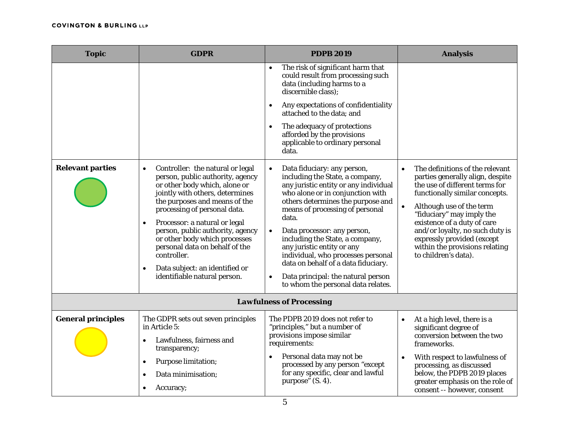| <b>Topic</b>              | <b>GDPR</b>                                                                                                                                                                                                                                                                                                                                                                                                                                                               | <b>PDPB 2019</b>                                                                                                                                                                                                                                                                                                                                                                                                                                                                      | <b>Analysis</b>                                                                                                                                                                                                                                                                                                                                                                      |
|---------------------------|---------------------------------------------------------------------------------------------------------------------------------------------------------------------------------------------------------------------------------------------------------------------------------------------------------------------------------------------------------------------------------------------------------------------------------------------------------------------------|---------------------------------------------------------------------------------------------------------------------------------------------------------------------------------------------------------------------------------------------------------------------------------------------------------------------------------------------------------------------------------------------------------------------------------------------------------------------------------------|--------------------------------------------------------------------------------------------------------------------------------------------------------------------------------------------------------------------------------------------------------------------------------------------------------------------------------------------------------------------------------------|
|                           |                                                                                                                                                                                                                                                                                                                                                                                                                                                                           | The risk of significant harm that<br>could result from processing such<br>data (including harms to a<br>discernible class);<br>Any expectations of confidentiality<br>attached to the data; and<br>The adequacy of protections<br>afforded by the provisions<br>applicable to ordinary personal<br>data.                                                                                                                                                                              |                                                                                                                                                                                                                                                                                                                                                                                      |
| <b>Relevant parties</b>   | Controller: the natural or legal<br>$\bullet$<br>person, public authority, agency<br>or other body which, alone or<br>jointly with others, determines<br>the purposes and means of the<br>processing of personal data.<br>Processor: a natural or legal<br>$\bullet$<br>person, public authority, agency<br>or other body which processes<br>personal data on behalf of the<br>controller.<br>Data subject: an identified or<br>$\bullet$<br>identifiable natural person. | Data fiduciary: any person,<br>including the State, a company,<br>any juristic entity or any individual<br>who alone or in conjunction with<br>others determines the purpose and<br>means of processing of personal<br>data.<br>Data processor: any person,<br>including the State, a company,<br>any juristic entity or any<br>individual, who processes personal<br>data on behalf of a data fiduciary.<br>Data principal: the natural person<br>to whom the personal data relates. | The definitions of the relevant<br>$\bullet$<br>parties generally align, despite<br>the use of different terms for<br>functionally similar concepts.<br>Although use of the term<br>$\bullet$<br>"fiduciary" may imply the<br>existence of a duty of care<br>and/or loyalty, no such duty is<br>expressly provided (except<br>within the provisions relating<br>to children's data). |
|                           |                                                                                                                                                                                                                                                                                                                                                                                                                                                                           | <b>Lawfulness of Processing</b>                                                                                                                                                                                                                                                                                                                                                                                                                                                       |                                                                                                                                                                                                                                                                                                                                                                                      |
| <b>General principles</b> | The GDPR sets out seven principles<br>in Article 5:<br>Lawfulness, fairness and<br>transparency;<br><b>Purpose limitation;</b><br>$\bullet$<br>Data minimisation;<br>$\bullet$<br>Accuracy;                                                                                                                                                                                                                                                                               | The PDPB 2019 does not refer to<br>"principles," but a number of<br>provisions impose similar<br>requirements:<br>Personal data may not be<br>processed by any person "except<br>for any specific, clear and lawful<br>purpose" (S. 4).                                                                                                                                                                                                                                               | At a high level, there is a<br>$\bullet$<br>significant degree of<br>conversion between the two<br>frameworks.<br>With respect to lawfulness of<br>$\bullet$<br>processing, as discussed<br>below, the PDPB 2019 places<br>greater emphasis on the role of<br>consent -- however, consent                                                                                            |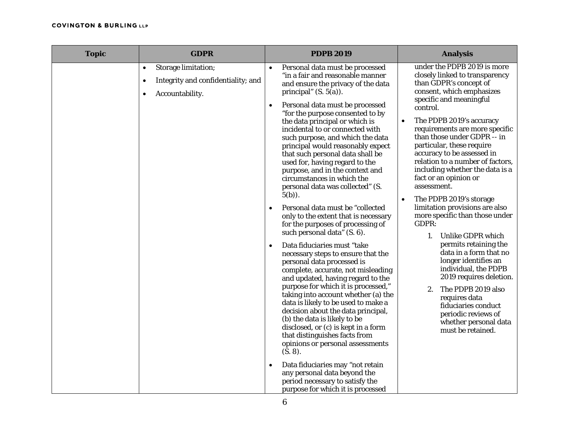| <b>Topic</b> | <b>GDPR</b>                                                                                    | <b>PDPB 2019</b>                                                                                                                                                                                                                                                                                                                                                                                                                                                                                                                                                                                                                                                                                                                                                                                                                                                                                                                                                                                                                                                                                                                                                                                                                                                                                                                                                                                   | <b>Analysis</b>                                                                                                                                                                                                                                                                                                                                                                                                                                                                                                                                                                                                                                                                                                                                                                                                                                                        |
|--------------|------------------------------------------------------------------------------------------------|----------------------------------------------------------------------------------------------------------------------------------------------------------------------------------------------------------------------------------------------------------------------------------------------------------------------------------------------------------------------------------------------------------------------------------------------------------------------------------------------------------------------------------------------------------------------------------------------------------------------------------------------------------------------------------------------------------------------------------------------------------------------------------------------------------------------------------------------------------------------------------------------------------------------------------------------------------------------------------------------------------------------------------------------------------------------------------------------------------------------------------------------------------------------------------------------------------------------------------------------------------------------------------------------------------------------------------------------------------------------------------------------------|------------------------------------------------------------------------------------------------------------------------------------------------------------------------------------------------------------------------------------------------------------------------------------------------------------------------------------------------------------------------------------------------------------------------------------------------------------------------------------------------------------------------------------------------------------------------------------------------------------------------------------------------------------------------------------------------------------------------------------------------------------------------------------------------------------------------------------------------------------------------|
|              | Storage limitation;<br>$\bullet$<br>Integrity and confidentiality; and<br>٠<br>Accountability. | Personal data must be processed<br>$\bullet$<br>"in a fair and reasonable manner<br>and ensure the privacy of the data<br>principal" $(S. 5(a))$ .<br>Personal data must be processed<br>$\bullet$<br>"for the purpose consented to by<br>the data principal or which is<br>incidental to or connected with<br>such purpose, and which the data<br>principal would reasonably expect<br>that such personal data shall be<br>used for, having regard to the<br>purpose, and in the context and<br>circumstances in which the<br>personal data was collected" (S.<br>$5(b)$ ).<br>Personal data must be "collected<br>$\bullet$<br>only to the extent that is necessary<br>for the purposes of processing of<br>such personal data" (S. 6).<br>Data fiduciaries must "take<br>$\bullet$<br>necessary steps to ensure that the<br>personal data processed is<br>complete, accurate, not misleading<br>and updated, having regard to the<br>purpose for which it is processed,"<br>taking into account whether (a) the<br>data is likely to be used to make a<br>decision about the data principal,<br>(b) the data is likely to be<br>disclosed, or (c) is kept in a form<br>that distinguishes facts from<br>opinions or personal assessments<br>(S. 8).<br>Data fiduciaries may "not retain<br>any personal data beyond the<br>period necessary to satisfy the<br>purpose for which it is processed | under the PDPB 2019 is more<br>closely linked to transparency<br>than GDPR's concept of<br>consent, which emphasizes<br>specific and meaningful<br>control.<br>The PDPB 2019's accuracy<br>$\bullet$<br>requirements are more specific<br>than those under GDPR -- in<br>particular, these require<br>accuracy to be assessed in<br>relation to a number of factors,<br>including whether the data is a<br>fact or an opinion or<br>assessment.<br>The PDPB 2019's storage<br>$\bullet$<br>limitation provisions are also<br>more specific than those under<br>GDPR:<br>Unlike GDPR which<br>1.<br>permits retaining the<br>data in a form that no<br>longer identifies an<br>individual, the PDPB<br>2019 requires deletion.<br>The PDPB 2019 also<br>2.<br>requires data<br>fiduciaries conduct<br>periodic reviews of<br>whether personal data<br>must be retained. |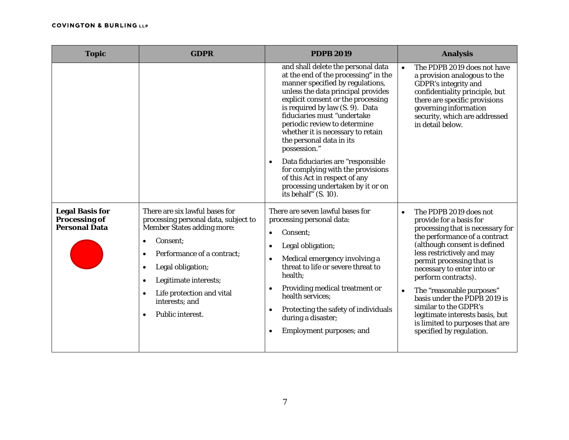| <b>Topic</b>                                                           | <b>GDPR</b>                                                                                                                                                                                                                                                                                   | <b>PDPB 2019</b>                                                                                                                                                                                                                                                                                                                                                                                                                                                                                                                                      | <b>Analysis</b>                                                                                                                                                                                                                                                                                                                                                                                                                                                                          |
|------------------------------------------------------------------------|-----------------------------------------------------------------------------------------------------------------------------------------------------------------------------------------------------------------------------------------------------------------------------------------------|-------------------------------------------------------------------------------------------------------------------------------------------------------------------------------------------------------------------------------------------------------------------------------------------------------------------------------------------------------------------------------------------------------------------------------------------------------------------------------------------------------------------------------------------------------|------------------------------------------------------------------------------------------------------------------------------------------------------------------------------------------------------------------------------------------------------------------------------------------------------------------------------------------------------------------------------------------------------------------------------------------------------------------------------------------|
|                                                                        |                                                                                                                                                                                                                                                                                               | and shall delete the personal data<br>at the end of the processing" in the<br>manner specified by regulations,<br>unless the data principal provides<br>explicit consent or the processing<br>is required by law (S. 9). Data<br>fiduciaries must "undertake<br>periodic review to determine<br>whether it is necessary to retain<br>the personal data in its<br>possession."<br>Data fiduciaries are "responsible<br>for complying with the provisions<br>of this Act in respect of any<br>processing undertaken by it or on<br>its behalf" (S. 10). | The PDPB 2019 does not have<br>$\bullet$<br>a provision analogous to the<br>GDPR's integrity and<br>confidentiality principle, but<br>there are specific provisions<br>governing information<br>security, which are addressed<br>in detail below.                                                                                                                                                                                                                                        |
| <b>Legal Basis for</b><br><b>Processing of</b><br><b>Personal Data</b> | There are six lawful bases for<br>processing personal data, subject to<br><b>Member States adding more:</b><br>Consent:<br>Performance of a contract;<br>$\bullet$<br>Legal obligation;<br>٠<br>Legitimate interests;<br>٠<br>Life protection and vital<br>interests; and<br>Public interest. | There are seven lawful bases for<br>processing personal data:<br>Consent:<br>$\bullet$<br>Legal obligation;<br>Medical emergency involving a<br>threat to life or severe threat to<br>health;<br>Providing medical treatment or<br>health services;<br>Protecting the safety of individuals<br>during a disaster;<br><b>Employment purposes; and</b>                                                                                                                                                                                                  | The PDPB 2019 does not<br>$\bullet$<br>provide for a basis for<br>processing that is necessary for<br>the performance of a contract<br>(although consent is defined<br>less restrictively and may<br>permit processing that is<br>necessary to enter into or<br>perform contracts).<br>The "reasonable purposes"<br>$\bullet$<br>basis under the PDPB 2019 is<br>similar to the GDPR's<br>legitimate interests basis, but<br>is limited to purposes that are<br>specified by regulation. |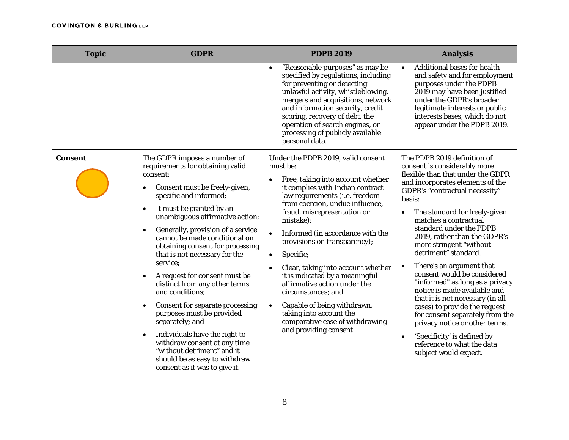| <b>Topic</b>   | <b>GDPR</b>                                                                                                                                                                                                                                                                                                                                                                                                                                                                                                                                                                                                                                                                                                                                                                                 | <b>PDPB 2019</b>                                                                                                                                                                                                                                                                                                                                                                                                                                                                                                                                                                                                       | <b>Analysis</b>                                                                                                                                                                                                                                                                                                                                                                                                                                                                                                                                                                                                                                                                                                                                  |
|----------------|---------------------------------------------------------------------------------------------------------------------------------------------------------------------------------------------------------------------------------------------------------------------------------------------------------------------------------------------------------------------------------------------------------------------------------------------------------------------------------------------------------------------------------------------------------------------------------------------------------------------------------------------------------------------------------------------------------------------------------------------------------------------------------------------|------------------------------------------------------------------------------------------------------------------------------------------------------------------------------------------------------------------------------------------------------------------------------------------------------------------------------------------------------------------------------------------------------------------------------------------------------------------------------------------------------------------------------------------------------------------------------------------------------------------------|--------------------------------------------------------------------------------------------------------------------------------------------------------------------------------------------------------------------------------------------------------------------------------------------------------------------------------------------------------------------------------------------------------------------------------------------------------------------------------------------------------------------------------------------------------------------------------------------------------------------------------------------------------------------------------------------------------------------------------------------------|
|                |                                                                                                                                                                                                                                                                                                                                                                                                                                                                                                                                                                                                                                                                                                                                                                                             | "Reasonable purposes" as may be<br>specified by regulations, including<br>for preventing or detecting<br>unlawful activity, whistleblowing,<br>mergers and acquisitions, network<br>and information security, credit<br>scoring, recovery of debt, the<br>operation of search engines, or<br>processing of publicly available<br>personal data.                                                                                                                                                                                                                                                                        | Additional bases for health<br>$\bullet$<br>and safety and for employment<br>purposes under the PDPB<br>2019 may have been justified<br>under the GDPR's broader<br>legitimate interests or public<br>interests bases, which do not<br>appear under the PDPB 2019.                                                                                                                                                                                                                                                                                                                                                                                                                                                                               |
| <b>Consent</b> | The GDPR imposes a number of<br>requirements for obtaining valid<br>consent:<br>Consent must be freely-given,<br>$\bullet$<br>specific and informed;<br>It must be granted by an<br>$\bullet$<br>unambiguous affirmative action;<br>Generally, provision of a service<br>$\bullet$<br>cannot be made conditional on<br>obtaining consent for processing<br>that is not necessary for the<br>service;<br>A request for consent must be<br>$\bullet$<br>distinct from any other terms<br>and conditions;<br><b>Consent for separate processing</b><br>$\bullet$<br>purposes must be provided<br>separately; and<br>Individuals have the right to<br>$\bullet$<br>withdraw consent at any time<br>"without detriment" and it<br>should be as easy to withdraw<br>consent as it was to give it. | Under the PDPB 2019, valid consent<br>must be:<br>Free, taking into account whether<br>$\bullet$<br>it complies with Indian contract<br>law requirements (i.e. freedom<br>from coercion, undue influence,<br>fraud, misrepresentation or<br>mistake);<br>Informed (in accordance with the<br>$\bullet$<br>provisions on transparency);<br>Specific;<br>$\bullet$<br>Clear, taking into account whether<br>it is indicated by a meaningful<br>affirmative action under the<br>circumstances; and<br>Capable of being withdrawn,<br>taking into account the<br>comparative ease of withdrawing<br>and providing consent. | The PDPB 2019 definition of<br>consent is considerably more<br>flexible than that under the GDPR<br>and incorporates elements of the<br>GDPR's "contractual necessity"<br>basis:<br>The standard for freely-given<br>matches a contractual<br>standard under the PDPB<br>2019, rather than the GDPR's<br>more stringent "without<br>detriment" standard.<br>There's an argument that<br>$\bullet$<br>consent would be considered<br>"informed" as long as a privacy<br>notice is made available and<br>that it is not necessary (in all<br>cases) to provide the request<br>for consent separately from the<br>privacy notice or other terms.<br>'Specificity' is defined by<br>$\bullet$<br>reference to what the data<br>subject would expect. |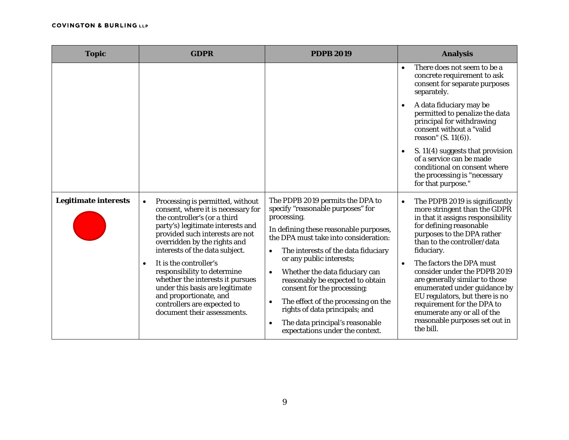| <b>Topic</b>                | <b>GDPR</b>                                                                                                                                                                                                                                                                                                                                                                                                                                                                                        | <b>PDPB 2019</b>                                                                                                                                                                                                                                                                                                                                                                                                                                                                                                         | <b>Analysis</b>                                                                                                                                                                                                                                                                                                                                                                                                                                                                                                 |
|-----------------------------|----------------------------------------------------------------------------------------------------------------------------------------------------------------------------------------------------------------------------------------------------------------------------------------------------------------------------------------------------------------------------------------------------------------------------------------------------------------------------------------------------|--------------------------------------------------------------------------------------------------------------------------------------------------------------------------------------------------------------------------------------------------------------------------------------------------------------------------------------------------------------------------------------------------------------------------------------------------------------------------------------------------------------------------|-----------------------------------------------------------------------------------------------------------------------------------------------------------------------------------------------------------------------------------------------------------------------------------------------------------------------------------------------------------------------------------------------------------------------------------------------------------------------------------------------------------------|
|                             |                                                                                                                                                                                                                                                                                                                                                                                                                                                                                                    |                                                                                                                                                                                                                                                                                                                                                                                                                                                                                                                          | There does not seem to be a<br>$\bullet$<br>concrete requirement to ask<br>consent for separate purposes<br>separately.                                                                                                                                                                                                                                                                                                                                                                                         |
|                             |                                                                                                                                                                                                                                                                                                                                                                                                                                                                                                    |                                                                                                                                                                                                                                                                                                                                                                                                                                                                                                                          | A data fiduciary may be<br>$\bullet$<br>permitted to penalize the data<br>principal for withdrawing<br>consent without a "valid<br>reason" $(S. 11(6))$ .                                                                                                                                                                                                                                                                                                                                                       |
|                             |                                                                                                                                                                                                                                                                                                                                                                                                                                                                                                    |                                                                                                                                                                                                                                                                                                                                                                                                                                                                                                                          | S. 11(4) suggests that provision<br>of a service can be made<br>conditional on consent where<br>the processing is "necessary<br>for that purpose."                                                                                                                                                                                                                                                                                                                                                              |
| <b>Legitimate interests</b> | Processing is permitted, without<br>$\bullet$<br>consent, where it is necessary for<br>the controller's (or a third<br>party's) legitimate interests and<br>provided such interests are not<br>overridden by the rights and<br>interests of the data subject.<br>It is the controller's<br>$\bullet$<br>responsibility to determine<br>whether the interests it pursues<br>under this basis are legitimate<br>and proportionate, and<br>controllers are expected to<br>document their assessments. | The PDPB 2019 permits the DPA to<br>specify "reasonable purposes" for<br>processing.<br>In defining these reasonable purposes,<br>the DPA must take into consideration:<br>The interests of the data fiduciary<br>$\bullet$<br>or any public interests;<br>Whether the data fiduciary can<br>reasonably be expected to obtain<br>consent for the processing;<br>The effect of the processing on the<br>rights of data principals; and<br>The data principal's reasonable<br>$\bullet$<br>expectations under the context. | The PDPB 2019 is significantly<br>$\bullet$<br>more stringent than the GDPR<br>in that it assigns responsibility<br>for defining reasonable<br>purposes to the DPA rather<br>than to the controller/data<br>fiduciary.<br>The factors the DPA must<br>$\bullet$<br>consider under the PDPB 2019<br>are generally similar to those<br>enumerated under guidance by<br>EU regulators, but there is no<br>requirement for the DPA to<br>enumerate any or all of the<br>reasonable purposes set out in<br>the bill. |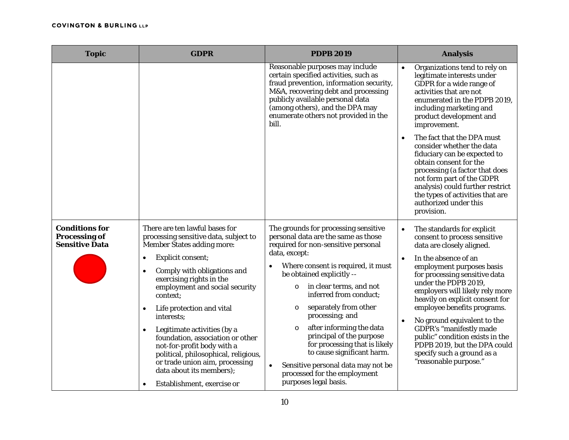| <b>Topic</b>                                                           | <b>GDPR</b>                                                                                                                                                                                                                                                                                                                                                                                                                                                                                                                                                            | <b>PDPB 2019</b>                                                                                                                                                                                                                                                                                                                                                                                                                                                                                                                                               | <b>Analysis</b>                                                                                                                                                                                                                                                                                                                                                                                                                                                                                                             |
|------------------------------------------------------------------------|------------------------------------------------------------------------------------------------------------------------------------------------------------------------------------------------------------------------------------------------------------------------------------------------------------------------------------------------------------------------------------------------------------------------------------------------------------------------------------------------------------------------------------------------------------------------|----------------------------------------------------------------------------------------------------------------------------------------------------------------------------------------------------------------------------------------------------------------------------------------------------------------------------------------------------------------------------------------------------------------------------------------------------------------------------------------------------------------------------------------------------------------|-----------------------------------------------------------------------------------------------------------------------------------------------------------------------------------------------------------------------------------------------------------------------------------------------------------------------------------------------------------------------------------------------------------------------------------------------------------------------------------------------------------------------------|
|                                                                        |                                                                                                                                                                                                                                                                                                                                                                                                                                                                                                                                                                        | Reasonable purposes may include<br>certain specified activities, such as<br>fraud prevention, information security,<br>M&A, recovering debt and processing<br>publicly available personal data<br>(among others), and the DPA may<br>enumerate others not provided in the<br>bill.                                                                                                                                                                                                                                                                             | Organizations tend to rely on<br>legitimate interests under<br>GDPR for a wide range of<br>activities that are not<br>enumerated in the PDPB 2019,<br>including marketing and<br>product development and<br>improvement.<br>The fact that the DPA must<br>consider whether the data<br>fiduciary can be expected to<br>obtain consent for the<br>processing (a factor that does<br>not form part of the GDPR<br>analysis) could further restrict<br>the types of activities that are<br>authorized under this<br>provision. |
| <b>Conditions for</b><br><b>Processing of</b><br><b>Sensitive Data</b> | There are ten lawful bases for<br>processing sensitive data, subject to<br><b>Member States adding more:</b><br>Explicit consent;<br>$\bullet$<br>Comply with obligations and<br>$\bullet$<br>exercising rights in the<br>employment and social security<br>context:<br>Life protection and vital<br>٠<br>interests;<br>Legitimate activities (by a<br>$\bullet$<br>foundation, association or other<br>not-for-profit body with a<br>political, philosophical, religious,<br>or trade union aim, processing<br>data about its members);<br>Establishment, exercise or | The grounds for processing sensitive<br>personal data are the same as those<br>required for non-sensitive personal<br>data, except:<br>Where consent is required, it must<br>be obtained explicitly --<br>in clear terms, and not<br>$\circ$<br>inferred from conduct:<br>separately from other<br>$\circ$<br>processing; and<br>after informing the data<br>$\circ$<br>principal of the purpose<br>for processing that is likely<br>to cause significant harm.<br>Sensitive personal data may not be<br>processed for the employment<br>purposes legal basis. | The standards for explicit<br>$\bullet$<br>consent to process sensitive<br>data are closely aligned.<br>In the absence of an<br>$\bullet$<br>employment purposes basis<br>for processing sensitive data<br>under the PDPB 2019.<br>employers will likely rely more<br>heavily on explicit consent for<br>employee benefits programs.<br>No ground equivalent to the<br>GDPR's "manifestly made<br>public" condition exists in the<br>PDPB 2019, but the DPA could<br>specify such a ground as a<br>"reasonable purpose."    |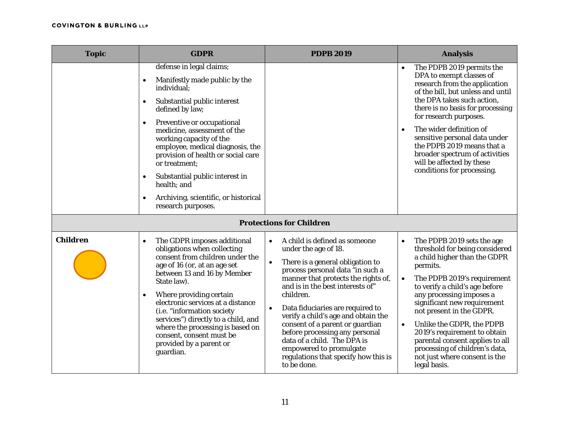| <b>Topic</b>    | <b>GDPR</b>                                                                                                                                                                                                                                                                                                                                                                                                                                                                      | <b>PDPB 2019</b>                                                                                                                                                                                                                                                                                                                                                                                                                                                                                                              | <b>Analysis</b>                                                                                                                                                                                                                                                                                                                                                                                                                                                                            |
|-----------------|----------------------------------------------------------------------------------------------------------------------------------------------------------------------------------------------------------------------------------------------------------------------------------------------------------------------------------------------------------------------------------------------------------------------------------------------------------------------------------|-------------------------------------------------------------------------------------------------------------------------------------------------------------------------------------------------------------------------------------------------------------------------------------------------------------------------------------------------------------------------------------------------------------------------------------------------------------------------------------------------------------------------------|--------------------------------------------------------------------------------------------------------------------------------------------------------------------------------------------------------------------------------------------------------------------------------------------------------------------------------------------------------------------------------------------------------------------------------------------------------------------------------------------|
|                 | defense in legal claims;<br>Manifestly made public by the<br>individual;<br>Substantial public interest<br>$\bullet$<br>defined by law;<br>Preventive or occupational<br>$\bullet$<br>medicine, assessment of the<br>working capacity of the<br>employee, medical diagnosis, the<br>provision of health or social care<br>or treatment;<br>Substantial public interest in<br>$\bullet$<br>health; and<br>Archiving, scientific, or historical<br>$\bullet$<br>research purposes. |                                                                                                                                                                                                                                                                                                                                                                                                                                                                                                                               | The PDPB 2019 permits the<br>DPA to exempt classes of<br>research from the application<br>of the bill, but unless and until<br>the DPA takes such action,<br>there is no basis for processing<br>for research purposes.<br>The wider definition of<br>$\bullet$<br>sensitive personal data under<br>the PDPB 2019 means that a<br>broader spectrum of activities<br>will be affected by these<br>conditions for processing.                                                                |
|                 |                                                                                                                                                                                                                                                                                                                                                                                                                                                                                  | <b>Protections for Children</b>                                                                                                                                                                                                                                                                                                                                                                                                                                                                                               |                                                                                                                                                                                                                                                                                                                                                                                                                                                                                            |
| <b>Children</b> | The GDPR imposes additional<br>$\bullet$<br>obligations when collecting<br>consent from children under the<br>age of 16 (or, at an age set<br>between 13 and 16 by Member<br>State law).<br>Where providing certain<br>$\bullet$<br>electronic services at a distance<br>(i.e. "information society<br>services") directly to a child, and<br>where the processing is based on<br>consent, consent must be<br>provided by a parent or<br>guardian.                               | A child is defined as someone<br>$\bullet$<br>under the age of 18.<br>There is a general obligation to<br>$\bullet$<br>process personal data "in such a<br>manner that protects the rights of,<br>and is in the best interests of"<br>children.<br>Data fiduciaries are required to<br>$\bullet$<br>verify a child's age and obtain the<br>consent of a parent or guardian<br>before processing any personal<br>data of a child. The DPA is<br>empowered to promulgate<br>regulations that specify how this is<br>to be done. | The PDPB 2019 sets the age<br>$\bullet$<br>threshold for being considered<br>a child higher than the GDPR<br>permits.<br>The PDPB 2019's requirement<br>$\bullet$<br>to verify a child's age before<br>any processing imposes a<br>significant new requirement<br>not present in the GDPR.<br>Unlike the GDPR, the PDPB<br>$\bullet$<br>2019's requirement to obtain<br>parental consent applies to all<br>processing of children's data,<br>not just where consent is the<br>legal basis. |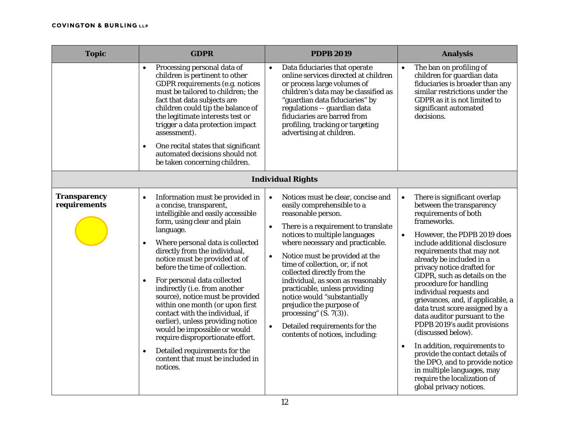| <b>Topic</b>                        | <b>GDPR</b>                                                                                                                                                                                                                                                                                                                                                                                                                                                                                                                                                                                                                                                                                                  | <b>PDPB 2019</b>                                                                                                                                                                                                                                                                                                                                                                                                                                                                                                                                                                            | <b>Analysis</b>                                                                                                                                                                                                                                                                                                                                                                                                                                                                                                                                                                                                                                                                                                                             |
|-------------------------------------|--------------------------------------------------------------------------------------------------------------------------------------------------------------------------------------------------------------------------------------------------------------------------------------------------------------------------------------------------------------------------------------------------------------------------------------------------------------------------------------------------------------------------------------------------------------------------------------------------------------------------------------------------------------------------------------------------------------|---------------------------------------------------------------------------------------------------------------------------------------------------------------------------------------------------------------------------------------------------------------------------------------------------------------------------------------------------------------------------------------------------------------------------------------------------------------------------------------------------------------------------------------------------------------------------------------------|---------------------------------------------------------------------------------------------------------------------------------------------------------------------------------------------------------------------------------------------------------------------------------------------------------------------------------------------------------------------------------------------------------------------------------------------------------------------------------------------------------------------------------------------------------------------------------------------------------------------------------------------------------------------------------------------------------------------------------------------|
|                                     | Processing personal data of<br>children is pertinent to other<br>GDPR requirements (e.g. notices<br>must be tailored to children; the<br>fact that data subjects are<br>children could tip the balance of<br>the legitimate interests test or<br>trigger a data protection impact<br>assessment).<br>One recital states that significant<br>$\bullet$<br>automated decisions should not<br>be taken concerning children.                                                                                                                                                                                                                                                                                     | Data fiduciaries that operate<br>$\bullet$<br>online services directed at children<br>or process large volumes of<br>children's data may be classified as<br>"guardian data fiduciaries" by<br>regulations -- guardian data<br>fiduciaries are barred from<br>profiling, tracking or targeting<br>advertising at children.                                                                                                                                                                                                                                                                  | The ban on profiling of<br>$\bullet$<br>children for guardian data<br>fiduciaries is broader than any<br>similar restrictions under the<br>GDPR as it is not limited to<br>significant automated<br>decisions.                                                                                                                                                                                                                                                                                                                                                                                                                                                                                                                              |
|                                     |                                                                                                                                                                                                                                                                                                                                                                                                                                                                                                                                                                                                                                                                                                              | <b>Individual Rights</b>                                                                                                                                                                                                                                                                                                                                                                                                                                                                                                                                                                    |                                                                                                                                                                                                                                                                                                                                                                                                                                                                                                                                                                                                                                                                                                                                             |
| <b>Transparency</b><br>requirements | Information must be provided in<br>$\bullet$<br>a concise, transparent,<br>intelligible and easily accessible<br>form, using clear and plain<br>language.<br>Where personal data is collected<br>$\bullet$<br>directly from the individual,<br>notice must be provided at of<br>before the time of collection.<br>For personal data collected<br>$\bullet$<br>indirectly (i.e. from another<br>source), notice must be provided<br>within one month (or upon first<br>contact with the individual, if<br>earlier), unless providing notice<br>would be impossible or would<br>require disproportionate effort.<br>Detailed requirements for the<br>$\bullet$<br>content that must be included in<br>notices. | Notices must be clear, concise and<br>$\bullet$<br>easily comprehensible to a<br>reasonable person.<br>There is a requirement to translate<br>$\bullet$<br>notices to multiple languages<br>where necessary and practicable.<br>Notice must be provided at the<br>$\bullet$<br>time of collection, or, if not<br>collected directly from the<br>individual, as soon as reasonably<br>practicable, unless providing<br>notice would "substantially<br>prejudice the purpose of<br>processing" $(S. 7(3))$ .<br>Detailed requirements for the<br>$\bullet$<br>contents of notices, including: | There is significant overlap<br>$\bullet$<br>between the transparency<br>requirements of both<br>frameworks.<br>However, the PDPB 2019 does<br>$\bullet$<br>include additional disclosure<br>requirements that may not<br>already be included in a<br>privacy notice drafted for<br>GDPR, such as details on the<br>procedure for handling<br>individual requests and<br>grievances, and, if applicable, a<br>data trust score assigned by a<br>data auditor pursuant to the<br>PDPB 2019's audit provisions<br>(discussed below).<br>In addition, requirements to<br>$\bullet$<br>provide the contact details of<br>the DPO, and to provide notice<br>in multiple languages, may<br>require the localization of<br>global privacy notices. |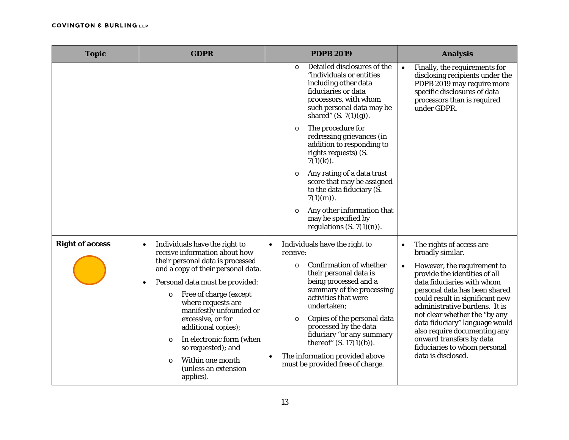| <b>Topic</b>           | <b>GDPR</b>                                                                                                                                                                                                                                                                                                                                                                               | <b>PDPB 2019</b>                                                                                                                                                                                                                                                                                                                                                                  | <b>Analysis</b>                                                                                                                                                                                                                                                                                                                                                                                   |
|------------------------|-------------------------------------------------------------------------------------------------------------------------------------------------------------------------------------------------------------------------------------------------------------------------------------------------------------------------------------------------------------------------------------------|-----------------------------------------------------------------------------------------------------------------------------------------------------------------------------------------------------------------------------------------------------------------------------------------------------------------------------------------------------------------------------------|---------------------------------------------------------------------------------------------------------------------------------------------------------------------------------------------------------------------------------------------------------------------------------------------------------------------------------------------------------------------------------------------------|
|                        |                                                                                                                                                                                                                                                                                                                                                                                           | Detailed disclosures of the<br>$\circ$<br>"individuals or entities"<br>including other data<br>fiduciaries or data<br>processors, with whom<br>such personal data may be<br>shared" $(S. 7(1)(g))$ .                                                                                                                                                                              | Finally, the requirements for<br>$\bullet$<br>disclosing recipients under the<br>PDPB 2019 may require more<br>specific disclosures of data<br>processors than is required<br>under GDPR.                                                                                                                                                                                                         |
|                        |                                                                                                                                                                                                                                                                                                                                                                                           | The procedure for<br>$\circ$<br>redressing grievances (in<br>addition to responding to<br>rights requests) (S.<br>$7(1)(k)$ .                                                                                                                                                                                                                                                     |                                                                                                                                                                                                                                                                                                                                                                                                   |
|                        |                                                                                                                                                                                                                                                                                                                                                                                           | Any rating of a data trust<br>$\circ$<br>score that may be assigned<br>to the data fiduciary (S.<br>$7(1)(m)$ .                                                                                                                                                                                                                                                                   |                                                                                                                                                                                                                                                                                                                                                                                                   |
|                        |                                                                                                                                                                                                                                                                                                                                                                                           | Any other information that<br>$\circ$<br>may be specified by<br>regulations $(S. 7(1)(n))$ .                                                                                                                                                                                                                                                                                      |                                                                                                                                                                                                                                                                                                                                                                                                   |
| <b>Right of access</b> | Individuals have the right to<br>$\bullet$<br>receive information about how                                                                                                                                                                                                                                                                                                               | Individuals have the right to<br>receive:                                                                                                                                                                                                                                                                                                                                         | The rights of access are<br>$\bullet$<br>broadly similar.                                                                                                                                                                                                                                                                                                                                         |
|                        | their personal data is processed<br>and a copy of their personal data.<br>Personal data must be provided:<br>$\bullet$<br>Free of charge (except<br>$\circ$<br>where requests are<br>manifestly unfounded or<br>excessive, or for<br>additional copies);<br>In electronic form (when<br>$\circ$<br>so requested); and<br>Within one month<br>$\circ$<br>(unless an extension<br>applies). | <b>Confirmation of whether</b><br>$\circ$<br>their personal data is<br>being processed and a<br>summary of the processing<br>activities that were<br>undertaken;<br>Copies of the personal data<br>$\circ$<br>processed by the data<br>fiduciary "or any summary<br>thereof" $(S. 17(1)(b))$ .<br>The information provided above<br>$\bullet$<br>must be provided free of charge. | However, the requirement to<br>$\bullet$<br>provide the identities of all<br>data fiduciaries with whom<br>personal data has been shared<br>could result in significant new<br>administrative burdens. It is<br>not clear whether the "by any<br>data fiduciary" language would<br>also require documenting any<br>onward transfers by data<br>fiduciaries to whom personal<br>data is disclosed. |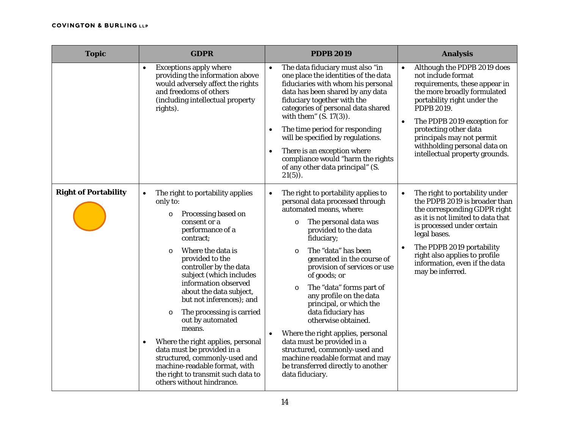| <b>Topic</b>                | <b>GDPR</b>                                                                                                                                                                                                                                                                                                                                                                                                                                                                                                                                                                                                                    | <b>PDPB 2019</b>                                                                                                                                                                                                                                                                                                                                                                                                                                                                                                                                                                                                                             | <b>Analysis</b>                                                                                                                                                                                                                                                                                                                                 |
|-----------------------------|--------------------------------------------------------------------------------------------------------------------------------------------------------------------------------------------------------------------------------------------------------------------------------------------------------------------------------------------------------------------------------------------------------------------------------------------------------------------------------------------------------------------------------------------------------------------------------------------------------------------------------|----------------------------------------------------------------------------------------------------------------------------------------------------------------------------------------------------------------------------------------------------------------------------------------------------------------------------------------------------------------------------------------------------------------------------------------------------------------------------------------------------------------------------------------------------------------------------------------------------------------------------------------------|-------------------------------------------------------------------------------------------------------------------------------------------------------------------------------------------------------------------------------------------------------------------------------------------------------------------------------------------------|
|                             | <b>Exceptions apply where</b><br>providing the information above<br>would adversely affect the rights<br>and freedoms of others<br>(including intellectual property<br>rights).                                                                                                                                                                                                                                                                                                                                                                                                                                                | The data fiduciary must also "in<br>$\bullet$<br>one place the identities of the data<br>fiduciaries with whom his personal<br>data has been shared by any data<br>fiduciary together with the<br>categories of personal data shared<br>with them" $(S. 17(3))$ .<br>The time period for responding<br>will be specified by regulations.<br>There is an exception where<br>compliance would "harm the rights<br>of any other data principal" (S.<br>$21(5)$ ).                                                                                                                                                                               | Although the PDPB 2019 does<br>$\bullet$<br>not include format<br>requirements, these appear in<br>the more broadly formulated<br>portability right under the<br>PDPB 2019.<br>The PDPB 2019 exception for<br>$\bullet$<br>protecting other data<br>principals may not permit<br>withholding personal data on<br>intellectual property grounds. |
| <b>Right of Portability</b> | The right to portability applies<br>$\bullet$<br>only to:<br>Processing based on<br>$\circ$<br>consent or a<br>performance of a<br>contract:<br>Where the data is<br>$\circ$<br>provided to the<br>controller by the data<br>subject (which includes<br>information observed<br>about the data subject,<br>but not inferences); and<br>The processing is carried<br>$\circ$<br>out by automated<br>means.<br>Where the right applies, personal<br>$\bullet$<br>data must be provided in a<br>structured, commonly-used and<br>machine-readable format, with<br>the right to transmit such data to<br>others without hindrance. | The right to portability applies to<br>$\bullet$<br>personal data processed through<br>automated means, where:<br>The personal data was<br>O<br>provided to the data<br>fiduciary;<br>The "data" has been<br>$\circ$<br>generated in the course of<br>provision of services or use<br>of goods; or<br>The "data" forms part of<br>$\circ$<br>any profile on the data<br>principal, or which the<br>data fiduciary has<br>otherwise obtained.<br>Where the right applies, personal<br>data must be provided in a<br>structured, commonly-used and<br>machine readable format and may<br>be transferred directly to another<br>data fiduciary. | The right to portability under<br>$\bullet$<br>the PDPB 2019 is broader than<br>the corresponding GDPR right<br>as it is not limited to data that<br>is processed under certain<br>legal bases.<br>The PDPB 2019 portability<br>$\bullet$<br>right also applies to profile<br>information, even if the data<br>may be inferred.                 |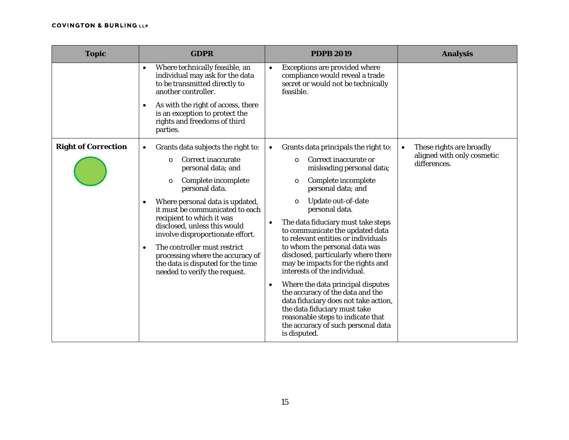| <b>Topic</b>               | <b>GDPR</b>                                                                                                                                                                                                                                                                                                                                                                                                                                                                 | <b>PDPB 2019</b>                                                                                                                                                                                                                                                                                                                                                                                                                                                                                                                                                                                                                                                                                                                       | <b>Analysis</b>                                                                     |
|----------------------------|-----------------------------------------------------------------------------------------------------------------------------------------------------------------------------------------------------------------------------------------------------------------------------------------------------------------------------------------------------------------------------------------------------------------------------------------------------------------------------|----------------------------------------------------------------------------------------------------------------------------------------------------------------------------------------------------------------------------------------------------------------------------------------------------------------------------------------------------------------------------------------------------------------------------------------------------------------------------------------------------------------------------------------------------------------------------------------------------------------------------------------------------------------------------------------------------------------------------------------|-------------------------------------------------------------------------------------|
|                            | Where technically feasible, an<br>$\bullet$<br>individual may ask for the data<br>to be transmitted directly to<br>another controller.<br>As with the right of access, there<br>$\bullet$<br>is an exception to protect the<br>rights and freedoms of third<br>parties.                                                                                                                                                                                                     | Exceptions are provided where<br>$\bullet$<br>compliance would reveal a trade<br>secret or would not be technically<br>feasible.                                                                                                                                                                                                                                                                                                                                                                                                                                                                                                                                                                                                       |                                                                                     |
| <b>Right of Correction</b> | Grants data subjects the right to:<br>$\bullet$<br>Correct inaccurate<br>$\circ$<br>personal data; and<br>Complete incomplete<br>$\circ$<br>personal data.<br>Where personal data is updated,<br>it must be communicated to each<br>recipient to which it was<br>disclosed, unless this would<br>involve disproportionate effort.<br>The controller must restrict<br>processing where the accuracy of<br>the data is disputed for the time<br>needed to verify the request. | Grants data principals the right to:<br>$\bullet$<br>Correct inaccurate or<br>$\circ$<br>misleading personal data;<br>Complete incomplete<br>$\circ$<br>personal data; and<br>Update out-of-date<br>$\circ$<br>personal data.<br>The data fiduciary must take steps<br>to communicate the updated data<br>to relevant entities or individuals<br>to whom the personal data was<br>disclosed, particularly where there<br>may be impacts for the rights and<br>interests of the individual.<br>Where the data principal disputes<br>the accuracy of the data and the<br>data fiduciary does not take action,<br>the data fiduciary must take<br>reasonable steps to indicate that<br>the accuracy of such personal data<br>is disputed. | These rights are broadly<br>$\bullet$<br>aligned with only cosmetic<br>differences. |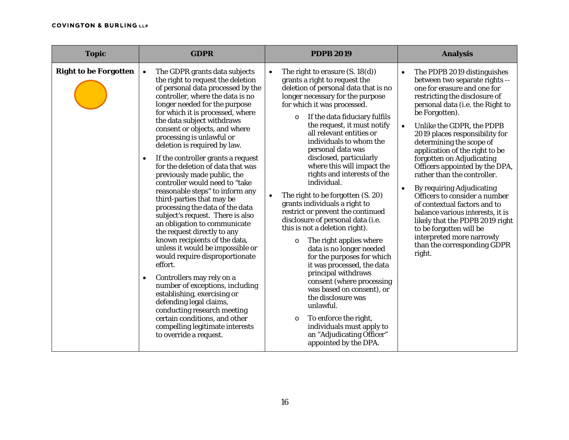| <b>Topic</b>                 | <b>GDPR</b>                                                                                                                                                                                                                                                                                                                                                                                                                                                                                                                                                                                                                                                                                                                                                                                                                                                                                                                                                                                                                                                                                       | <b>PDPB 2019</b>                                                                                                                                                                                                                                                                                                                                                                                                                                                                                                                                                                                                                                                                                                                                                                                                                                                                                                                                                                                                    | <b>Analysis</b>                                                                                                                                                                                                                                                                                                                                                                                                                                                                                                                                                                                                                                                                                                                    |
|------------------------------|---------------------------------------------------------------------------------------------------------------------------------------------------------------------------------------------------------------------------------------------------------------------------------------------------------------------------------------------------------------------------------------------------------------------------------------------------------------------------------------------------------------------------------------------------------------------------------------------------------------------------------------------------------------------------------------------------------------------------------------------------------------------------------------------------------------------------------------------------------------------------------------------------------------------------------------------------------------------------------------------------------------------------------------------------------------------------------------------------|---------------------------------------------------------------------------------------------------------------------------------------------------------------------------------------------------------------------------------------------------------------------------------------------------------------------------------------------------------------------------------------------------------------------------------------------------------------------------------------------------------------------------------------------------------------------------------------------------------------------------------------------------------------------------------------------------------------------------------------------------------------------------------------------------------------------------------------------------------------------------------------------------------------------------------------------------------------------------------------------------------------------|------------------------------------------------------------------------------------------------------------------------------------------------------------------------------------------------------------------------------------------------------------------------------------------------------------------------------------------------------------------------------------------------------------------------------------------------------------------------------------------------------------------------------------------------------------------------------------------------------------------------------------------------------------------------------------------------------------------------------------|
| <b>Right to be Forgotten</b> | The GDPR grants data subjects<br>the right to request the deletion<br>of personal data processed by the<br>controller, where the data is no<br>longer needed for the purpose<br>for which it is processed, where<br>the data subject withdraws<br>consent or objects, and where<br>processing is unlawful or<br>deletion is required by law.<br>If the controller grants a request<br>$\bullet$<br>for the deletion of data that was<br>previously made public, the<br>controller would need to "take<br>reasonable steps" to inform any<br>third-parties that may be<br>processing the data of the data<br>subject's request. There is also<br>an obligation to communicate<br>the request directly to any<br>known recipients of the data,<br>unless it would be impossible or<br>would require disproportionate<br>effort.<br>Controllers may rely on a<br>$\bullet$<br>number of exceptions, including<br>establishing, exercising or<br>defending legal claims,<br>conducting research meeting<br>certain conditions, and other<br>compelling legitimate interests<br>to override a request. | The right to erasure $(S. 18(d))$<br>$\bullet$<br>grants a right to request the<br>deletion of personal data that is no<br>longer necessary for the purpose<br>for which it was processed.<br>If the data fiduciary fulfils<br>$\circ$<br>the request, it must notify<br>all relevant entities or<br>individuals to whom the<br>personal data was<br>disclosed, particularly<br>where this will impact the<br>rights and interests of the<br>individual.<br>The right to be forgotten (S. 20)<br>grants individuals a right to<br>restrict or prevent the continued<br>disclosure of personal data (i.e.<br>this is not a deletion right).<br>The right applies where<br>$\circ$<br>data is no longer needed<br>for the purposes for which<br>it was processed, the data<br>principal withdraws<br>consent (where processing<br>was based on consent), or<br>the disclosure was<br>unlawful.<br>To enforce the right,<br>$\circ$<br>individuals must apply to<br>an "Adjudicating Officer"<br>appointed by the DPA. | The PDPB 2019 distinguishes<br>$\bullet$<br>between two separate rights --<br>one for erasure and one for<br>restricting the disclosure of<br>personal data (i.e. the Right to<br>be Forgotten).<br>Unlike the GDPR, the PDPB<br>$\bullet$<br>2019 places responsibility for<br>determining the scope of<br>application of the right to be<br>forgotten on Adjudicating<br>Officers appointed by the DPA,<br>rather than the controller.<br><b>By requiring Adjudicating</b><br>$\bullet$<br>Officers to consider a number<br>of contextual factors and to<br>balance various interests, it is<br>likely that the PDPB 2019 right<br>to be forgotten will be<br>interpreted more narrowly<br>than the corresponding GDPR<br>right. |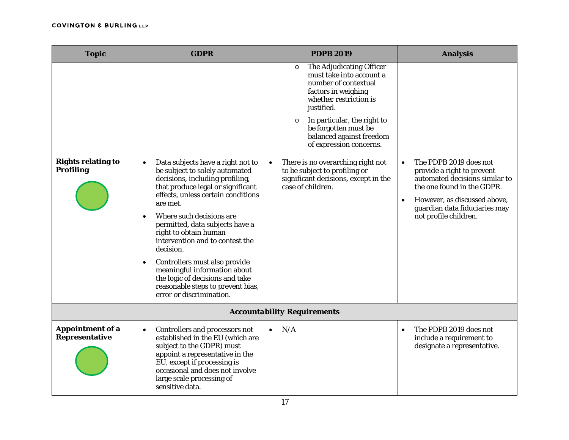| <b>Topic</b>                                  | <b>GDPR</b>                                                                                                                                                                                                                                                                                                                                                                                                                                                                                                                                       | <b>PDPB 2019</b>                                                                                                                                                                                                                                                                                                                                                                                                                | <b>Analysis</b>                                                                                                                                                                                                                          |
|-----------------------------------------------|---------------------------------------------------------------------------------------------------------------------------------------------------------------------------------------------------------------------------------------------------------------------------------------------------------------------------------------------------------------------------------------------------------------------------------------------------------------------------------------------------------------------------------------------------|---------------------------------------------------------------------------------------------------------------------------------------------------------------------------------------------------------------------------------------------------------------------------------------------------------------------------------------------------------------------------------------------------------------------------------|------------------------------------------------------------------------------------------------------------------------------------------------------------------------------------------------------------------------------------------|
| <b>Rights relating to</b><br><b>Profiling</b> | Data subjects have a right not to<br>$\bullet$<br>be subject to solely automated<br>decisions, including profiling,<br>that produce legal or significant<br>effects, unless certain conditions<br>are met.<br>Where such decisions are<br>$\bullet$<br>permitted, data subjects have a<br>right to obtain human<br>intervention and to contest the<br>decision.<br>Controllers must also provide<br>$\bullet$<br>meaningful information about<br>the logic of decisions and take<br>reasonable steps to prevent bias,<br>error or discrimination. | The Adjudicating Officer<br>$\circ$<br>must take into account a<br>number of contextual<br>factors in weighing<br>whether restriction is<br>justified.<br>In particular, the right to<br>$\circ$<br>be forgotten must be<br>balanced against freedom<br>of expression concerns.<br>There is no overarching right not<br>$\bullet$<br>to be subject to profiling or<br>significant decisions, except in the<br>case of children. | The PDPB 2019 does not<br>$\bullet$<br>provide a right to prevent<br>automated decisions similar to<br>the one found in the GDPR.<br>However, as discussed above,<br>$\bullet$<br>guardian data fiduciaries may<br>not profile children. |
|                                               |                                                                                                                                                                                                                                                                                                                                                                                                                                                                                                                                                   | <b>Accountability Requirements</b>                                                                                                                                                                                                                                                                                                                                                                                              |                                                                                                                                                                                                                                          |
| <b>Appointment of a</b><br>Representative     | Controllers and processors not<br>$\bullet$<br>established in the EU (which are<br>subject to the GDPR) must<br>appoint a representative in the<br>EU, except if processing is<br>occasional and does not involve<br>large scale processing of<br>sensitive data.                                                                                                                                                                                                                                                                                 | N/A<br>$\bullet$                                                                                                                                                                                                                                                                                                                                                                                                                | The PDPB 2019 does not<br>$\bullet$<br>include a requirement to<br>designate a representative.                                                                                                                                           |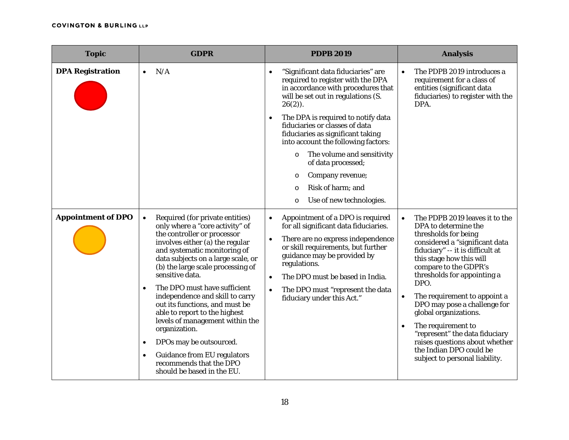| <b>Topic</b>              | <b>GDPR</b>                                                                                                                                                                                                                                                                                                                                                                                                                                                                                                                                                                                                                                | <b>PDPB 2019</b>                                                                                                                                                                                                                                                                                                                                                                                                                                                               | <b>Analysis</b>                                                                                                                                                                                                                                                                                                                                                                                                                                                                                                            |
|---------------------------|--------------------------------------------------------------------------------------------------------------------------------------------------------------------------------------------------------------------------------------------------------------------------------------------------------------------------------------------------------------------------------------------------------------------------------------------------------------------------------------------------------------------------------------------------------------------------------------------------------------------------------------------|--------------------------------------------------------------------------------------------------------------------------------------------------------------------------------------------------------------------------------------------------------------------------------------------------------------------------------------------------------------------------------------------------------------------------------------------------------------------------------|----------------------------------------------------------------------------------------------------------------------------------------------------------------------------------------------------------------------------------------------------------------------------------------------------------------------------------------------------------------------------------------------------------------------------------------------------------------------------------------------------------------------------|
| <b>DPA Registration</b>   | N/A                                                                                                                                                                                                                                                                                                                                                                                                                                                                                                                                                                                                                                        | "Significant data fiduciaries" are<br>required to register with the DPA<br>in accordance with procedures that<br>will be set out in regulations (S.<br>$26(2)$ ).<br>The DPA is required to notify data<br>fiduciaries or classes of data<br>fiduciaries as significant taking<br>into account the following factors:<br>The volume and sensitivity<br>$\circ$<br>of data processed;<br>Company revenue;<br>O<br>Risk of harm; and<br>$\circ$<br>Use of new technologies.<br>O | The PDPB 2019 introduces a<br>requirement for a class of<br>entities (significant data<br>fiduciaries) to register with the<br>DPA.                                                                                                                                                                                                                                                                                                                                                                                        |
| <b>Appointment of DPO</b> | Required (for private entities)<br>$\bullet$<br>only where a "core activity" of<br>the controller or processor<br>involves either (a) the regular<br>and systematic monitoring of<br>data subjects on a large scale, or<br>(b) the large scale processing of<br>sensitive data.<br>The DPO must have sufficient<br>$\bullet$<br>independence and skill to carry<br>out its functions, and must be<br>able to report to the highest<br>levels of management within the<br>organization.<br>DPOs may be outsourced.<br>$\bullet$<br><b>Guidance from EU regulators</b><br>$\bullet$<br>recommends that the DPO<br>should be based in the EU. | Appointment of a DPO is required<br>$\bullet$<br>for all significant data fiduciaries.<br>There are no express independence<br>or skill requirements, but further<br>guidance may be provided by<br>regulations.<br>The DPO must be based in India.<br>$\bullet$<br>The DPO must "represent the data<br>$\bullet$<br>fiduciary under this Act."                                                                                                                                | The PDPB 2019 leaves it to the<br>$\bullet$<br>DPA to determine the<br>thresholds for being<br>considered a "significant data<br>fiduciary" -- it is difficult at<br>this stage how this will<br>compare to the GDPR's<br>thresholds for appointing a<br>DPO.<br>The requirement to appoint a<br>DPO may pose a challenge for<br>global organizations.<br>The requirement to<br>$\bullet$<br>"represent" the data fiduciary<br>raises questions about whether<br>the Indian DPO could be<br>subject to personal liability. |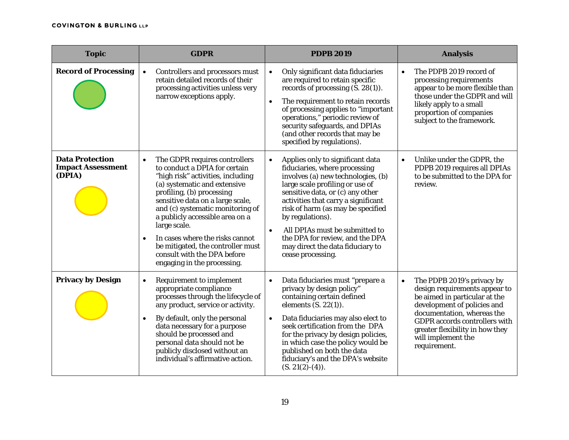| <b>Topic</b>                                                 | <b>GDPR</b>                                                                                                                                                                                                                                                                                                                                                                                                                                    | <b>PDPB 2019</b>                                                                                                                                                                                                                                                                                                                                                                                                                       | <b>Analysis</b>                                                                                                                                                                                                                                                                         |
|--------------------------------------------------------------|------------------------------------------------------------------------------------------------------------------------------------------------------------------------------------------------------------------------------------------------------------------------------------------------------------------------------------------------------------------------------------------------------------------------------------------------|----------------------------------------------------------------------------------------------------------------------------------------------------------------------------------------------------------------------------------------------------------------------------------------------------------------------------------------------------------------------------------------------------------------------------------------|-----------------------------------------------------------------------------------------------------------------------------------------------------------------------------------------------------------------------------------------------------------------------------------------|
| <b>Record of Processing</b>                                  | Controllers and processors must<br>retain detailed records of their<br>processing activities unless very<br>narrow exceptions apply.                                                                                                                                                                                                                                                                                                           | Only significant data fiduciaries<br>$\bullet$<br>are required to retain specific<br>records of processing (S. 28(1)).<br>The requirement to retain records<br>$\bullet$<br>of processing applies to "important<br>operations," periodic review of<br>security safeguards, and DPIAs<br>(and other records that may be<br>specified by regulations).                                                                                   | The PDPB 2019 record of<br>$\bullet$<br>processing requirements<br>appear to be more flexible than<br>those under the GDPR and will<br>likely apply to a small<br>proportion of companies<br>subject to the framework.                                                                  |
| <b>Data Protection</b><br><b>Impact Assessment</b><br>(DPIA) | The GDPR requires controllers<br>$\bullet$<br>to conduct a DPIA for certain<br>"high risk" activities, including<br>(a) systematic and extensive<br>profiling, (b) processing<br>sensitive data on a large scale,<br>and (c) systematic monitoring of<br>a publicly accessible area on a<br>large scale.<br>In cases where the risks cannot<br>be mitigated, the controller must<br>consult with the DPA before<br>engaging in the processing. | Applies only to significant data<br>$\bullet$<br>fiduciaries, where processing<br>involves (a) new technologies, (b)<br>large scale profiling or use of<br>sensitive data, or (c) any other<br>activities that carry a significant<br>risk of harm (as may be specified<br>by regulations).<br>All DPIAs must be submitted to<br>$\bullet$<br>the DPA for review, and the DPA<br>may direct the data fiduciary to<br>cease processing. | Unlike under the GDPR, the<br>$\bullet$<br>PDPB 2019 requires all DPIAs<br>to be submitted to the DPA for<br>review.                                                                                                                                                                    |
| <b>Privacy by Design</b>                                     | <b>Requirement to implement</b><br>$\bullet$<br>appropriate compliance<br>processes through the lifecycle of<br>any product, service or activity.<br>By default, only the personal<br>data necessary for a purpose<br>should be processed and<br>personal data should not be<br>publicly disclosed without an<br>individual's affirmative action.                                                                                              | Data fiduciaries must "prepare a<br>$\bullet$<br>privacy by design policy"<br>containing certain defined<br>elements $(S. 22(1))$ .<br>Data fiduciaries may also elect to<br>$\bullet$<br>seek certification from the DPA<br>for the privacy by design policies,<br>in which case the policy would be<br>published on both the data<br>fiduciary's and the DPA's website<br>$(S. 21(2)-(4)).$                                          | The PDPB 2019's privacy by<br>$\bullet$<br>design requirements appear to<br>be aimed in particular at the<br>development of policies and<br>documentation, whereas the<br><b>GDPR</b> accords controllers with<br>greater flexibility in how they<br>will implement the<br>requirement. |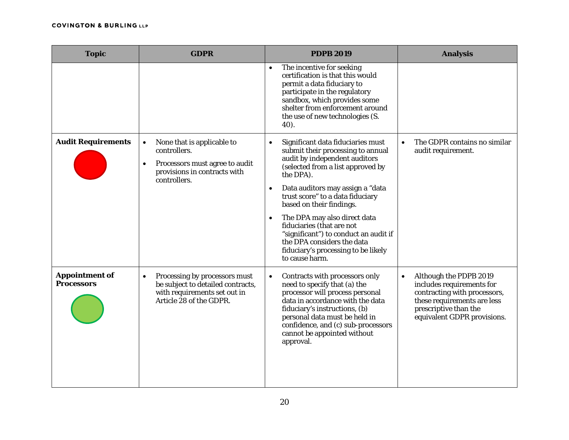| <b>Topic</b>                               | <b>GDPR</b>                                                                                                                                            | <b>PDPB 2019</b>                                                                                                                                                                                                                                                                                                                                                                                                                                                                     | <b>Analysis</b>                                                                                                                                                                         |
|--------------------------------------------|--------------------------------------------------------------------------------------------------------------------------------------------------------|--------------------------------------------------------------------------------------------------------------------------------------------------------------------------------------------------------------------------------------------------------------------------------------------------------------------------------------------------------------------------------------------------------------------------------------------------------------------------------------|-----------------------------------------------------------------------------------------------------------------------------------------------------------------------------------------|
|                                            |                                                                                                                                                        | The incentive for seeking<br>$\bullet$<br>certification is that this would<br>permit a data fiduciary to<br>participate in the regulatory<br>sandbox, which provides some<br>shelter from enforcement around<br>the use of new technologies (S.<br>$40$ ).                                                                                                                                                                                                                           |                                                                                                                                                                                         |
| <b>Audit Requirements</b>                  | None that is applicable to<br>$\bullet$<br>controllers.<br>Processors must agree to audit<br>$\bullet$<br>provisions in contracts with<br>controllers. | Significant data fiduciaries must<br>$\bullet$<br>submit their processing to annual<br>audit by independent auditors<br>(selected from a list approved by<br>the DPA).<br>Data auditors may assign a "data<br>$\bullet$<br>trust score" to a data fiduciary<br>based on their findings.<br>The DPA may also direct data<br>fiduciaries (that are not<br>"significant") to conduct an audit if<br>the DPA considers the data<br>fiduciary's processing to be likely<br>to cause harm. | The GDPR contains no similar<br>$\bullet$<br>audit requirement.                                                                                                                         |
| <b>Appointment of</b><br><b>Processors</b> | Processing by processors must<br>$\bullet$<br>be subject to detailed contracts,<br>with requirements set out in<br>Article 28 of the GDPR.             | Contracts with processors only<br>$\bullet$<br>need to specify that (a) the<br>processor will process personal<br>data in accordance with the data<br>fiduciary's instructions, (b)<br>personal data must be held in<br>confidence, and (c) sub-processors<br>cannot be appointed without<br>approval.                                                                                                                                                                               | Although the PDPB 2019<br>$\bullet$<br>includes requirements for<br>contracting with processors,<br>these requirements are less<br>prescriptive than the<br>equivalent GDPR provisions. |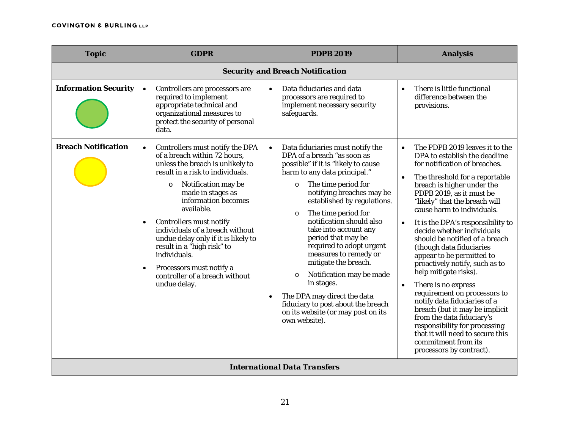| <b>Topic</b>                | <b>GDPR</b>                                                                                                                                                                                                                                                                                                                                                                                                                                                                                    | <b>PDPB 2019</b>                                                                                                                                                                                                                                                                                                                                                                                                                                                                                                                                                                                                             | <b>Analysis</b>                                                                                                                                                                                                                                                                                                                                                                                                                                                                                                                                                                                                                                                                                                                                                                                                        |
|-----------------------------|------------------------------------------------------------------------------------------------------------------------------------------------------------------------------------------------------------------------------------------------------------------------------------------------------------------------------------------------------------------------------------------------------------------------------------------------------------------------------------------------|------------------------------------------------------------------------------------------------------------------------------------------------------------------------------------------------------------------------------------------------------------------------------------------------------------------------------------------------------------------------------------------------------------------------------------------------------------------------------------------------------------------------------------------------------------------------------------------------------------------------------|------------------------------------------------------------------------------------------------------------------------------------------------------------------------------------------------------------------------------------------------------------------------------------------------------------------------------------------------------------------------------------------------------------------------------------------------------------------------------------------------------------------------------------------------------------------------------------------------------------------------------------------------------------------------------------------------------------------------------------------------------------------------------------------------------------------------|
|                             |                                                                                                                                                                                                                                                                                                                                                                                                                                                                                                | <b>Security and Breach Notification</b>                                                                                                                                                                                                                                                                                                                                                                                                                                                                                                                                                                                      |                                                                                                                                                                                                                                                                                                                                                                                                                                                                                                                                                                                                                                                                                                                                                                                                                        |
| <b>Information Security</b> | Controllers are processors are<br>$\bullet$<br>required to implement<br>appropriate technical and<br>organizational measures to<br>protect the security of personal<br>data.                                                                                                                                                                                                                                                                                                                   | Data fiduciaries and data<br>processors are required to<br>implement necessary security<br>safeguards.                                                                                                                                                                                                                                                                                                                                                                                                                                                                                                                       | There is little functional<br>$\bullet$<br>difference between the<br>provisions.                                                                                                                                                                                                                                                                                                                                                                                                                                                                                                                                                                                                                                                                                                                                       |
| <b>Breach Notification</b>  | Controllers must notify the DPA<br>$\bullet$<br>of a breach within 72 hours,<br>unless the breach is unlikely to<br>result in a risk to individuals.<br>Notification may be<br>$\circ$<br>made in stages as<br>information becomes<br>available.<br>Controllers must notify<br>individuals of a breach without<br>undue delay only if it is likely to<br>result in a "high risk" to<br>individuals.<br>Processors must notify a<br>$\bullet$<br>controller of a breach without<br>undue delay. | Data fiduciaries must notify the<br>$\bullet$<br>DPA of a breach "as soon as<br>possible" if it is "likely to cause<br>harm to any data principal."<br>The time period for<br>$\circ$<br>notifying breaches may be<br>established by regulations.<br>The time period for<br>$\circ$<br>notification should also<br>take into account any<br>period that may be<br>required to adopt urgent<br>measures to remedy or<br>mitigate the breach.<br>Notification may be made<br>$\circ$<br>in stages.<br>The DPA may direct the data<br>fiduciary to post about the breach<br>on its website (or may post on its<br>own website). | The PDPB 2019 leaves it to the<br>$\bullet$<br>DPA to establish the deadline<br>for notification of breaches.<br>The threshold for a reportable<br>$\bullet$<br>breach is higher under the<br>PDPB 2019, as it must be<br>"likely" that the breach will<br>cause harm to individuals.<br>It is the DPA's responsibility to<br>$\bullet$<br>decide whether individuals<br>should be notified of a breach<br>(though data fiduciaries<br>appear to be permitted to<br>proactively notify, such as to<br>help mitigate risks).<br>There is no express<br>$\bullet$<br>requirement on processors to<br>notify data fiduciaries of a<br>breach (but it may be implicit<br>from the data fiduciary's<br>responsibility for processing<br>that it will need to secure this<br>commitment from its<br>processors by contract). |
|                             |                                                                                                                                                                                                                                                                                                                                                                                                                                                                                                | <b>International Data Transfers</b>                                                                                                                                                                                                                                                                                                                                                                                                                                                                                                                                                                                          |                                                                                                                                                                                                                                                                                                                                                                                                                                                                                                                                                                                                                                                                                                                                                                                                                        |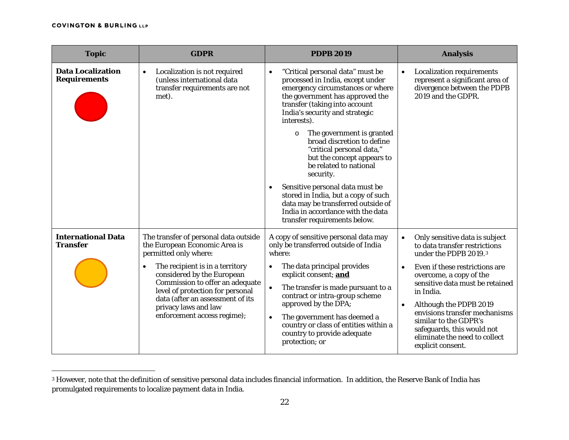$\overline{a}$ 

<span id="page-21-0"></span>

| <b>Topic</b>                                    | <b>GDPR</b>                                                                                                                                                                                                                                                                                                                                     | <b>PDPB 2019</b>                                                                                                                                                                                                                                                                                                                                                                                                                                                                                                                                                        | <b>Analysis</b>                                                                                                                                                                                                                                                                                                                                                                                                      |
|-------------------------------------------------|-------------------------------------------------------------------------------------------------------------------------------------------------------------------------------------------------------------------------------------------------------------------------------------------------------------------------------------------------|-------------------------------------------------------------------------------------------------------------------------------------------------------------------------------------------------------------------------------------------------------------------------------------------------------------------------------------------------------------------------------------------------------------------------------------------------------------------------------------------------------------------------------------------------------------------------|----------------------------------------------------------------------------------------------------------------------------------------------------------------------------------------------------------------------------------------------------------------------------------------------------------------------------------------------------------------------------------------------------------------------|
| <b>Data Localization</b><br><b>Requirements</b> | Localization is not required<br>$\bullet$<br>(unless international data<br>transfer requirements are not<br>met).                                                                                                                                                                                                                               | "Critical personal data" must be<br>$\bullet$<br>processed in India, except under<br>emergency circumstances or where<br>the government has approved the<br>transfer (taking into account<br>India's security and strategic<br>interests).<br>The government is granted<br>$\circ$<br>broad discretion to define<br>"critical personal data,"<br>but the concept appears to<br>be related to national<br>security.<br>Sensitive personal data must be<br>stored in India, but a copy of such<br>data may be transferred outside of<br>India in accordance with the data | <b>Localization requirements</b><br>$\bullet$<br>represent a significant area of<br>divergence between the PDPB<br>2019 and the GDPR.                                                                                                                                                                                                                                                                                |
| <b>International Data</b><br><b>Transfer</b>    | The transfer of personal data outside<br>the European Economic Area is<br>permitted only where:<br>The recipient is in a territory<br>$\bullet$<br>considered by the European<br>Commission to offer an adequate<br>level of protection for personal<br>data (after an assessment of its<br>privacy laws and law<br>enforcement access regime); | transfer requirements below.<br>A copy of sensitive personal data may<br>only be transferred outside of India<br>where:<br>The data principal provides<br>explicit consent; and<br>The transfer is made pursuant to a<br>contract or intra-group scheme<br>approved by the DPA;<br>The government has deemed a<br>country or class of entities within a<br>country to provide adequate<br>protection; or                                                                                                                                                                | Only sensitive data is subject<br>$\bullet$<br>to data transfer restrictions<br>under the PDPB 2019.3<br>Even if these restrictions are<br>$\bullet$<br>overcome, a copy of the<br>sensitive data must be retained<br>in India.<br>Although the PDPB 2019<br>$\bullet$<br>envisions transfer mechanisms<br>similar to the GDPR's<br>safeguards, this would not<br>eliminate the need to collect<br>explicit consent. |

<sup>3</sup> However, note that the definition of sensitive personal data includes financial information. In addition, the Reserve Bank of India has promulgated requirements to localize payment data in India.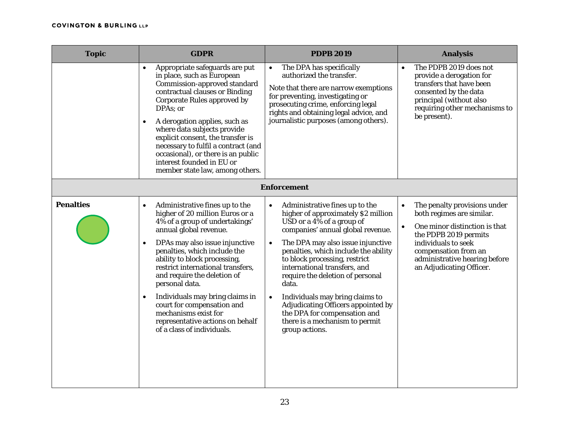| <b>Topic</b>     | <b>GDPR</b>                                                                                                                                                                                                                                                                                                                                                                                                                                                                                                             | <b>PDPB 2019</b>                                                                                                                                                                                                                                                                                                                                                                                                                                                                                                | <b>Analysis</b>                                                                                                                                                                                                                                           |
|------------------|-------------------------------------------------------------------------------------------------------------------------------------------------------------------------------------------------------------------------------------------------------------------------------------------------------------------------------------------------------------------------------------------------------------------------------------------------------------------------------------------------------------------------|-----------------------------------------------------------------------------------------------------------------------------------------------------------------------------------------------------------------------------------------------------------------------------------------------------------------------------------------------------------------------------------------------------------------------------------------------------------------------------------------------------------------|-----------------------------------------------------------------------------------------------------------------------------------------------------------------------------------------------------------------------------------------------------------|
|                  | Appropriate safeguards are put<br>in place, such as European<br>Commission-approved standard<br>contractual clauses or Binding<br>Corporate Rules approved by<br>DPAs; or<br>A derogation applies, such as<br>where data subjects provide<br>explicit consent, the transfer is<br>necessary to fulfil a contract (and<br>occasional), or there is an public<br>interest founded in EU or<br>member state law, among others.                                                                                             | The DPA has specifically<br>authorized the transfer.<br>Note that there are narrow exemptions<br>for preventing, investigating or<br>prosecuting crime, enforcing legal<br>rights and obtaining legal advice, and<br>journalistic purposes (among others).                                                                                                                                                                                                                                                      | The PDPB 2019 does not<br>$\bullet$<br>provide a derogation for<br>transfers that have been<br>consented by the data<br>principal (without also<br>requiring other mechanisms to<br>be present).                                                          |
|                  |                                                                                                                                                                                                                                                                                                                                                                                                                                                                                                                         | <b>Enforcement</b>                                                                                                                                                                                                                                                                                                                                                                                                                                                                                              |                                                                                                                                                                                                                                                           |
| <b>Penalties</b> | Administrative fines up to the<br>$\bullet$<br>higher of 20 million Euros or a<br>4% of a group of undertakings'<br>annual global revenue.<br>DPAs may also issue injunctive<br>$\bullet$<br>penalties, which include the<br>ability to block processing,<br>restrict international transfers,<br>and require the deletion of<br>personal data.<br>Individuals may bring claims in<br>$\bullet$<br>court for compensation and<br>mechanisms exist for<br>representative actions on behalf<br>of a class of individuals. | Administrative fines up to the<br>$\bullet$<br>higher of approximately \$2 million<br>USD or a $4\%$ of a group of<br>companies' annual global revenue.<br>The DPA may also issue injunctive<br>penalties, which include the ability<br>to block processing, restrict<br>international transfers, and<br>require the deletion of personal<br>data.<br>Individuals may bring claims to<br>Adjudicating Officers appointed by<br>the DPA for compensation and<br>there is a mechanism to permit<br>group actions. | The penalty provisions under<br>$\bullet$<br>both regimes are similar.<br>One minor distinction is that<br>$\bullet$<br>the PDPB 2019 permits<br>individuals to seek<br>compensation from an<br>administrative hearing before<br>an Adjudicating Officer. |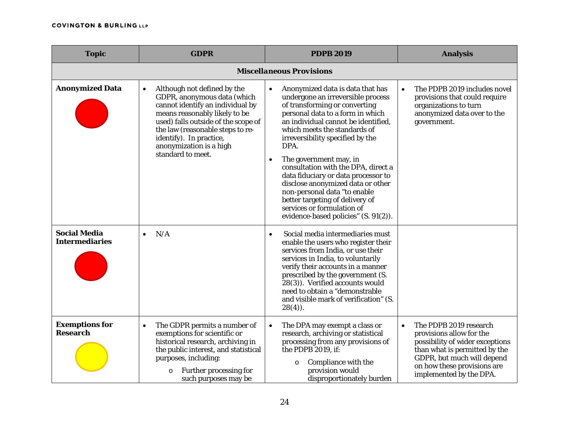| <b>Topic</b>                                 | <b>GDPR</b>                                                                                                                                                                                                                                                                                        | <b>PDPB 2019</b>                                                                                                                                                                                                                                                                                                                                                                                                                                                                                                                                    | <b>Analysis</b>                                                                                                                                                                                                             |
|----------------------------------------------|----------------------------------------------------------------------------------------------------------------------------------------------------------------------------------------------------------------------------------------------------------------------------------------------------|-----------------------------------------------------------------------------------------------------------------------------------------------------------------------------------------------------------------------------------------------------------------------------------------------------------------------------------------------------------------------------------------------------------------------------------------------------------------------------------------------------------------------------------------------------|-----------------------------------------------------------------------------------------------------------------------------------------------------------------------------------------------------------------------------|
|                                              |                                                                                                                                                                                                                                                                                                    | <b>Miscellaneous Provisions</b>                                                                                                                                                                                                                                                                                                                                                                                                                                                                                                                     |                                                                                                                                                                                                                             |
| <b>Anonymized Data</b>                       | Although not defined by the<br>$\bullet$<br>GDPR, anonymous data (which<br>cannot identify an individual by<br>means reasonably likely to be<br>used) falls outside of the scope of<br>the law (reasonable steps to re-<br>identify). In practice,<br>anonymization is a high<br>standard to meet. | Anonymized data is data that has<br>undergone an irreversible process<br>of transforming or converting<br>personal data to a form in which<br>an individual cannot be identified,<br>which meets the standards of<br>irreversibility specified by the<br>DPA.<br>The government may, in<br>consultation with the DPA, direct a<br>data fiduciary or data processor to<br>disclose anonymized data or other<br>non-personal data "to enable<br>better targeting of delivery of<br>services or formulation of<br>evidence-based policies" (S. 91(2)). | The PDPB 2019 includes novel<br>$\bullet$<br>provisions that could require<br>organizations to turn<br>anonymized data over to the<br>government.                                                                           |
| <b>Social Media</b><br><b>Intermediaries</b> | N/A<br>$\bullet$                                                                                                                                                                                                                                                                                   | Social media intermediaries must<br>enable the users who register their<br>services from India, or use their<br>services in India, to voluntarily<br>verify their accounts in a manner<br>prescribed by the government (S.<br>28(3)). Verified accounts would<br>need to obtain a "demonstrable<br>and visible mark of verification" (S.<br>$28(4)$ ).                                                                                                                                                                                              |                                                                                                                                                                                                                             |
| <b>Exemptions for</b><br><b>Research</b>     | The GDPR permits a number of<br>$\bullet$<br>exemptions for scientific or<br>historical research, archiving in<br>the public interest, and statistical<br>purposes, including:<br>Further processing for<br>$\circ$<br>such purposes may be                                                        | The DPA may exempt a class or<br>$\bullet$<br>research, archiving or statistical<br>processing from any provisions of<br>the PDPB 2019, if:<br>Compliance with the<br>$\circ$<br>provision would<br>disproportionately burden                                                                                                                                                                                                                                                                                                                       | The PDPB 2019 research<br>$\bullet$<br>provisions allow for the<br>possibility of wider exceptions<br>than what is permitted by the<br>GDPR, but much will depend<br>on how these provisions are<br>implemented by the DPA. |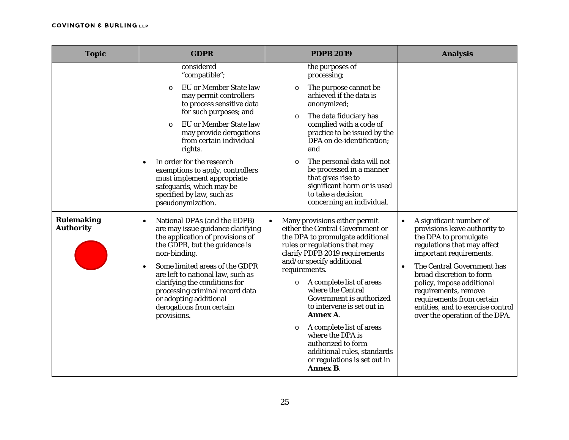| <b>Topic</b>                          | <b>GDPR</b>                                                                                                                                                                                                                                                                                                                                                                                      | <b>PDPB 2019</b>                                                                                                                                                                                                                                                                                                                                                     | <b>Analysis</b>                                                                                                                                                                                                                                                                                                                                                                          |
|---------------------------------------|--------------------------------------------------------------------------------------------------------------------------------------------------------------------------------------------------------------------------------------------------------------------------------------------------------------------------------------------------------------------------------------------------|----------------------------------------------------------------------------------------------------------------------------------------------------------------------------------------------------------------------------------------------------------------------------------------------------------------------------------------------------------------------|------------------------------------------------------------------------------------------------------------------------------------------------------------------------------------------------------------------------------------------------------------------------------------------------------------------------------------------------------------------------------------------|
|                                       | considered<br>"compatible";                                                                                                                                                                                                                                                                                                                                                                      | the purposes of<br>processing;                                                                                                                                                                                                                                                                                                                                       |                                                                                                                                                                                                                                                                                                                                                                                          |
|                                       | EU or Member State law<br>$\circ$<br>may permit controllers<br>to process sensitive data<br>for such purposes; and<br><b>EU</b> or Member State law<br>$\circ$<br>may provide derogations<br>from certain individual<br>rights.                                                                                                                                                                  | The purpose cannot be<br>$\circ$<br>achieved if the data is<br>anonymized;<br>The data fiduciary has<br>$\circ$<br>complied with a code of<br>practice to be issued by the<br>DPA on de-identification;<br>and                                                                                                                                                       |                                                                                                                                                                                                                                                                                                                                                                                          |
|                                       |                                                                                                                                                                                                                                                                                                                                                                                                  |                                                                                                                                                                                                                                                                                                                                                                      |                                                                                                                                                                                                                                                                                                                                                                                          |
|                                       | In order for the research<br>$\bullet$<br>exemptions to apply, controllers<br>must implement appropriate<br>safeguards, which may be<br>specified by law, such as<br>pseudonymization.                                                                                                                                                                                                           | The personal data will not<br>$\circ$<br>be processed in a manner<br>that gives rise to<br>significant harm or is used<br>to take a decision<br>concerning an individual.                                                                                                                                                                                            |                                                                                                                                                                                                                                                                                                                                                                                          |
| <b>Rulemaking</b><br><b>Authority</b> | National DPAs (and the EDPB)<br>$\bullet$<br>are may issue guidance clarifying<br>the application of provisions of<br>the GDPR, but the guidance is<br>non-binding.<br>Some limited areas of the GDPR<br>$\bullet$<br>are left to national law, such as<br>clarifying the conditions for<br>processing criminal record data<br>or adopting additional<br>derogations from certain<br>provisions. | Many provisions either permit<br>$\bullet$<br>either the Central Government or<br>the DPA to promulgate additional<br>rules or regulations that may<br>clarify PDPB 2019 requirements<br>and/or specify additional<br>requirements.<br>o A complete list of areas<br>where the Central<br>Government is authorized<br>to intervene is set out in<br><b>Annex A</b> . | A significant number of<br>$\bullet$<br>provisions leave authority to<br>the DPA to promulgate<br>regulations that may affect<br>important requirements.<br>The Central Government has<br>$\bullet$<br>broad discretion to form<br>policy, impose additional<br>requirements, remove<br>requirements from certain<br>entities, and to exercise control<br>over the operation of the DPA. |
|                                       |                                                                                                                                                                                                                                                                                                                                                                                                  | A complete list of areas<br>$\circ$<br>where the DPA is<br>authorized to form<br>additional rules, standards<br>or regulations is set out in<br><b>Annex B.</b>                                                                                                                                                                                                      |                                                                                                                                                                                                                                                                                                                                                                                          |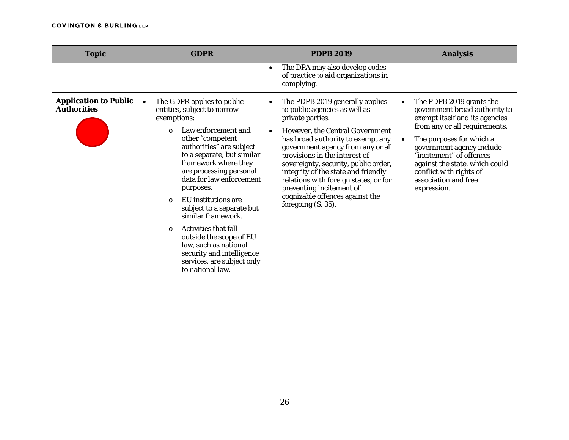| <b>Topic</b>                                       | <b>GDPR</b>                                                                                                                                                                                                                                                                                                                                                                                                                                                                                                                                                          | <b>PDPB 2019</b>                                                                                                                                                                                                                                                                                                                                                                                                                                | <b>Analysis</b>                                                                                                                                                                                                                                                                                                                                 |
|----------------------------------------------------|----------------------------------------------------------------------------------------------------------------------------------------------------------------------------------------------------------------------------------------------------------------------------------------------------------------------------------------------------------------------------------------------------------------------------------------------------------------------------------------------------------------------------------------------------------------------|-------------------------------------------------------------------------------------------------------------------------------------------------------------------------------------------------------------------------------------------------------------------------------------------------------------------------------------------------------------------------------------------------------------------------------------------------|-------------------------------------------------------------------------------------------------------------------------------------------------------------------------------------------------------------------------------------------------------------------------------------------------------------------------------------------------|
|                                                    |                                                                                                                                                                                                                                                                                                                                                                                                                                                                                                                                                                      | The DPA may also develop codes<br>$\bullet$<br>of practice to aid organizations in<br>complying.                                                                                                                                                                                                                                                                                                                                                |                                                                                                                                                                                                                                                                                                                                                 |
| <b>Application to Public</b><br><b>Authorities</b> | The GDPR applies to public<br>$\bullet$<br>entities, subject to narrow<br>exemptions:<br>Law enforcement and<br>$\Omega$<br>other "competent<br>authorities" are subject<br>to a separate, but similar<br>framework where they<br>are processing personal<br>data for law enforcement<br>purposes.<br>EU institutions are<br>$\cap$<br>subject to a separate but<br>similar framework.<br><b>Activities that fall</b><br>$\Omega$<br>outside the scope of EU<br>law, such as national<br>security and intelligence<br>services, are subject only<br>to national law. | The PDPB 2019 generally applies<br>to public agencies as well as<br>private parties.<br>However, the Central Government<br>has broad authority to exempt any<br>government agency from any or all<br>provisions in the interest of<br>sovereignty, security, public order,<br>integrity of the state and friendly<br>relations with foreign states, or for<br>preventing incitement of<br>cognizable offences against the<br>foregoing (S. 35). | The PDPB 2019 grants the<br>$\bullet$<br>government broad authority to<br>exempt itself and its agencies<br>from any or all requirements.<br>The purposes for which a<br>$\bullet$<br>government agency include<br>"incitement" of offences<br>against the state, which could<br>conflict with rights of<br>association and free<br>expression. |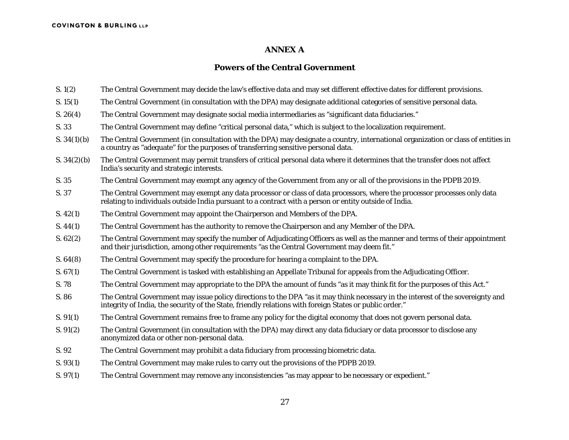#### **ANNEX A**

### **Powers of the Central Government**

- S. 1(2) The Central Government may decide the law's effective data and may set different effective dates for different provisions.
- S. 15(1) The Central Government (in consultation with the DPA) may designate additional categories of sensitive personal data.
- S. 26(4) The Central Government may designate social media intermediaries as "significant data fiduciaries."
- S. 33 The Central Government may define "critical personal data," which is subject to the localization requirement.
- S. 34(1)(b) The Central Government (in consultation with the DPA) may designate a country, international organization or class of entities in a country as "adequate" for the purposes of transferring sensitive personal data.
- S. 34(2)(b) The Central Government may permit transfers of critical personal data where it determines that the transfer does not affect India's security and strategic interests.
- S. 35 The Central Government may exempt any agency of the Government from any or all of the provisions in the PDPB 2019.
- S. 37 The Central Government may exempt any data processor or class of data processors, where the processor processes only data relating to individuals outside India pursuant to a contract with a person or entity outside of India.
- S. 42(1) The Central Government may appoint the Chairperson and Members of the DPA.
- S. 44(1) The Central Government has the authority to remove the Chairperson and any Member of the DPA.
- S. 62(2) The Central Government may specify the number of Adjudicating Officers as well as the manner and terms of their appointment and their jurisdiction, among other requirements "as the Central Government may deem fit."
- S. 64(8) The Central Government may specify the procedure for hearing a complaint to the DPA.
- S. 67(1) The Central Government is tasked with establishing an Appellate Tribunal for appeals from the Adjudicating Officer.
- S. 78 The Central Government may appropriate to the DPA the amount of funds "as it may think fit for the purposes of this Act."
- S. 86 The Central Government may issue policy directions to the DPA "as it may think necessary in the interest of the sovereignty and integrity of India, the security of the State, friendly relations with foreign States or public order."
- S. 91(1) The Central Government remains free to frame any policy for the digital economy that does not govern personal data.
- S. 91(2) The Central Government (in consultation with the DPA) may direct any data fiduciary or data processor to disclose any anonymized data or other non-personal data.
- S. 92 The Central Government may prohibit a data fiduciary from processing biometric data.
- S. 93(1) The Central Government may make rules to carry out the provisions of the PDPB 2019.
- S. 97(1) The Central Government may remove any inconsistencies "as may appear to be necessary or expedient."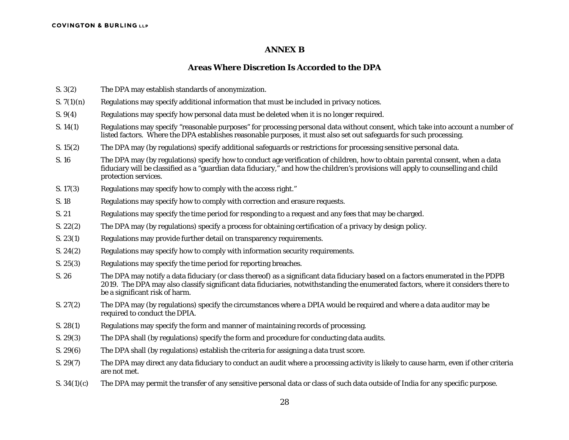### **ANNEX B**

### **Areas Where Discretion Is Accorded to the DPA**

- S. 3(2) The DPA may establish standards of anonymization.
- $S. 7(1)(n)$  Regulations may specify additional information that must be included in privacy notices.
- S. 9(4) Regulations may specify how personal data must be deleted when it is no longer required.
- S. 14(1) Regulations may specify "reasonable purposes" for processing personal data without consent, which take into account a number of listed factors. Where the DPA establishes reasonable purposes, it must also set out safeguards for such processing.
- S. 15(2) The DPA may (by regulations) specify additional safeguards or restrictions for processing sensitive personal data.
- S. 16 The DPA may (by regulations) specify how to conduct age verification of children, how to obtain parental consent, when a data fiduciary will be classified as a "guardian data fiduciary," and how the children's provisions will apply to counselling and child protection services.
- S. 17(3) Regulations may specify how to comply with the access right."
- S. 18 Regulations may specify how to comply with correction and erasure requests.
- S. 21 Regulations may specify the time period for responding to a request and any fees that may be charged.
- S. 22(2) The DPA may (by regulations) specify a process for obtaining certification of a privacy by design policy.
- S. 23(1) Regulations may provide further detail on transparency requirements.
- S. 24(2) Regulations may specify how to comply with information security requirements.
- S. 25(3) Regulations may specify the time period for reporting breaches.
- S. 26 The DPA may notify a data fiduciary (or class thereof) as a significant data fiduciary based on a factors enumerated in the PDPB 2019. The DPA may also classify significant data fiduciaries, notwithstanding the enumerated factors, where it considers there to be a significant risk of harm.
- S. 27(2) The DPA may (by regulations) specify the circumstances where a DPIA would be required and where a data auditor may be required to conduct the DPIA.
- S. 28(1) Regulations may specify the form and manner of maintaining records of processing.
- S. 29(3) The DPA shall (by regulations) specify the form and procedure for conducting data audits.
- S. 29(6) The DPA shall (by regulations) establish the criteria for assigning a data trust score.
- S. 29(7) The DPA may direct any data fiduciary to conduct an audit where a processing activity is likely to cause harm, even if other criteria are not met.
- S. 34(1)(c) The DPA may permit the transfer of any sensitive personal data or class of such data outside of India for any specific purpose.